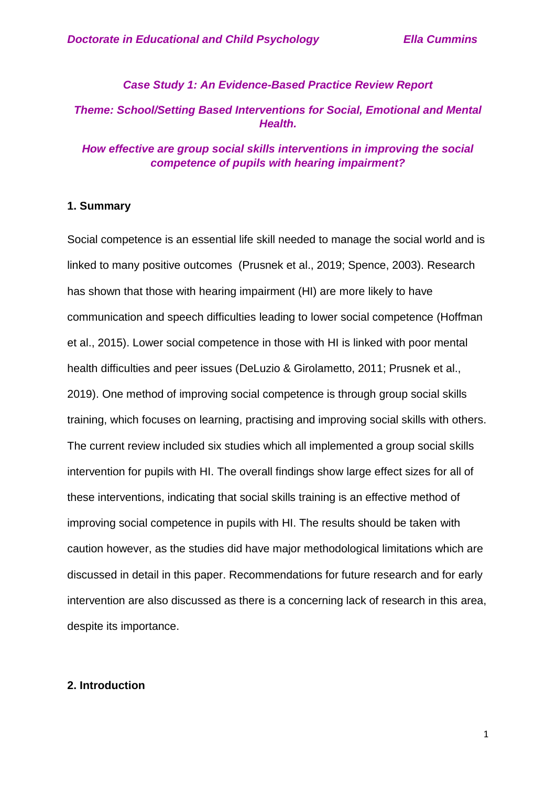## *Case Study 1: An Evidence-Based Practice Review Report*

# *Theme: School/Setting Based Interventions for Social, Emotional and Mental Health.*

## *How effective are group social skills interventions in improving the social competence of pupils with hearing impairment?*

### **1. Summary**

Social competence is an essential life skill needed to manage the social world and is linked to many positive outcomes (Prusnek et al., 2019; Spence, 2003). Research has shown that those with hearing impairment (HI) are more likely to have communication and speech difficulties leading to lower social competence (Hoffman et al., 2015). Lower social competence in those with HI is linked with poor mental health difficulties and peer issues (DeLuzio & Girolametto, 2011; Prusnek et al., 2019). One method of improving social competence is through group social skills training, which focuses on learning, practising and improving social skills with others. The current review included six studies which all implemented a group social skills intervention for pupils with HI. The overall findings show large effect sizes for all of these interventions, indicating that social skills training is an effective method of improving social competence in pupils with HI. The results should be taken with caution however, as the studies did have major methodological limitations which are discussed in detail in this paper. Recommendations for future research and for early intervention are also discussed as there is a concerning lack of research in this area, despite its importance.

## **2. Introduction**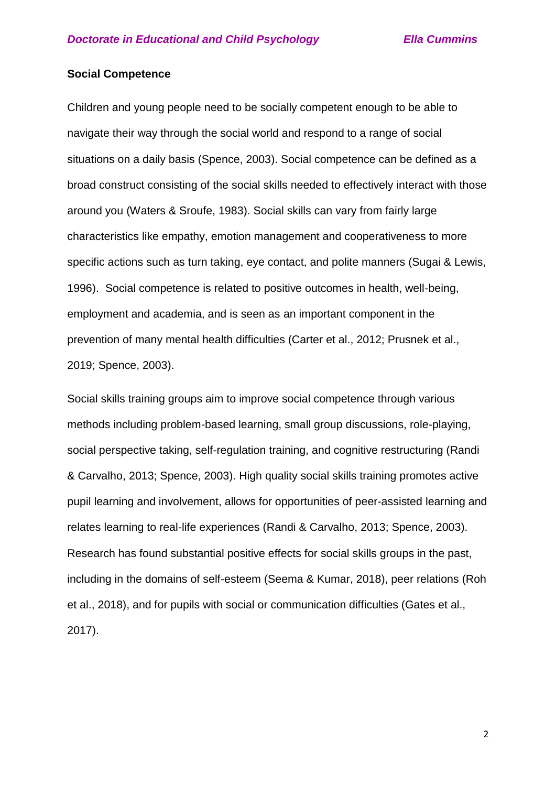## **Social Competence**

Children and young people need to be socially competent enough to be able to navigate their way through the social world and respond to a range of social situations on a daily basis (Spence, 2003). Social competence can be defined as a broad construct consisting of the social skills needed to effectively interact with those around you (Waters & Sroufe, 1983). Social skills can vary from fairly large characteristics like empathy, emotion management and cooperativeness to more specific actions such as turn taking, eye contact, and polite manners (Sugai & Lewis, 1996).Social competence is related to positive outcomes in health, well-being, employment and academia, and is seen as an important component in the prevention of many mental health difficulties (Carter et al., 2012; Prusnek et al., 2019; Spence, 2003).

Social skills training groups aim to improve social competence through various methods including problem-based learning, small group discussions, role-playing, social perspective taking, self-regulation training, and cognitive restructuring (Randi & Carvalho, 2013; Spence, 2003). High quality social skills training promotes active pupil learning and involvement, allows for opportunities of peer-assisted learning and relates learning to real-life experiences (Randi & Carvalho, 2013; Spence, 2003). Research has found substantial positive effects for social skills groups in the past, including in the domains of self-esteem (Seema & Kumar, 2018), peer relations (Roh et al., 2018), and for pupils with social or communication difficulties (Gates et al., 2017).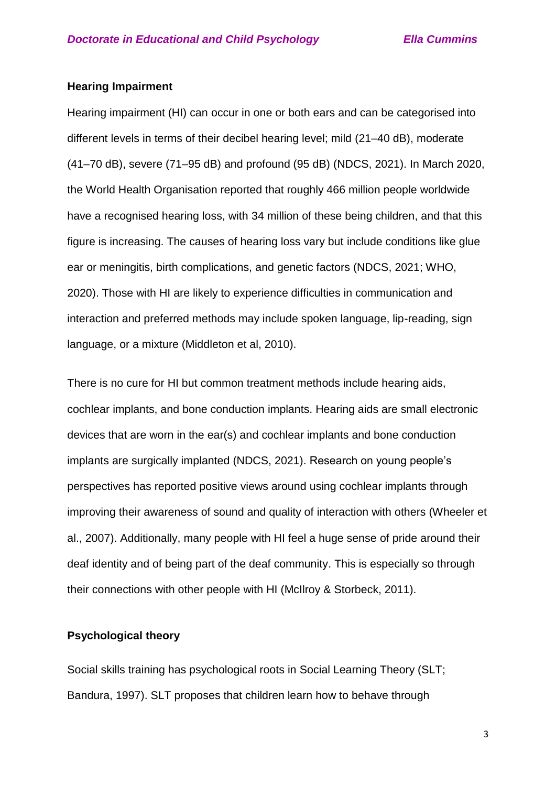## **Hearing Impairment**

Hearing impairment (HI) can occur in one or both ears and can be categorised into different levels in terms of their decibel hearing level; mild (21–40 dB), moderate (41–70 dB), severe (71–95 dB) and profound (95 dB) (NDCS, 2021). In March 2020, the World Health Organisation reported that roughly 466 million people worldwide have a recognised hearing loss, with 34 million of these being children, and that this figure is increasing. The causes of hearing loss vary but include conditions like glue ear or meningitis, birth complications, and genetic factors (NDCS, 2021; WHO, 2020). Those with HI are likely to experience difficulties in communication and interaction and preferred methods may include spoken language, lip-reading, sign language, or a mixture (Middleton et al, 2010).

There is no cure for HI but common treatment methods include hearing aids, cochlear implants, and bone conduction implants. Hearing aids are small electronic devices that are worn in the ear(s) and cochlear implants and bone conduction implants are surgically implanted (NDCS, 2021). Research on young people's perspectives has reported positive views around using cochlear implants through improving their awareness of sound and quality of interaction with others (Wheeler et al., 2007). Additionally, many people with HI feel a huge sense of pride around their deaf identity and of being part of the deaf community. This is especially so through their connections with other people with HI (McIlroy & Storbeck, 2011).

## **Psychological theory**

Social skills training has psychological roots in Social Learning Theory (SLT; Bandura, 1997). SLT proposes that children learn how to behave through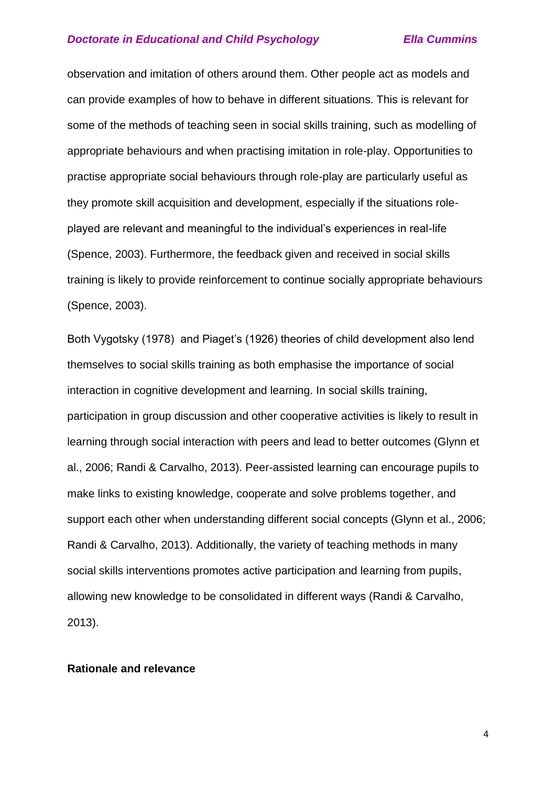observation and imitation of others around them. Other people act as models and can provide examples of how to behave in different situations. This is relevant for some of the methods of teaching seen in social skills training, such as modelling of appropriate behaviours and when practising imitation in role-play. Opportunities to practise appropriate social behaviours through role-play are particularly useful as they promote skill acquisition and development, especially if the situations roleplayed are relevant and meaningful to the individual's experiences in real-life (Spence, 2003). Furthermore, the feedback given and received in social skills training is likely to provide reinforcement to continue socially appropriate behaviours (Spence, 2003).

Both Vygotsky (1978) and Piaget's (1926) theories of child development also lend themselves to social skills training as both emphasise the importance of social interaction in cognitive development and learning. In social skills training, participation in group discussion and other cooperative activities is likely to result in learning through social interaction with peers and lead to better outcomes (Glynn et al., 2006; Randi & Carvalho, 2013). Peer-assisted learning can encourage pupils to make links to existing knowledge, cooperate and solve problems together, and support each other when understanding different social concepts (Glynn et al., 2006; Randi & Carvalho, 2013). Additionally, the variety of teaching methods in many social skills interventions promotes active participation and learning from pupils, allowing new knowledge to be consolidated in different ways (Randi & Carvalho, 2013).

### **Rationale and relevance**

4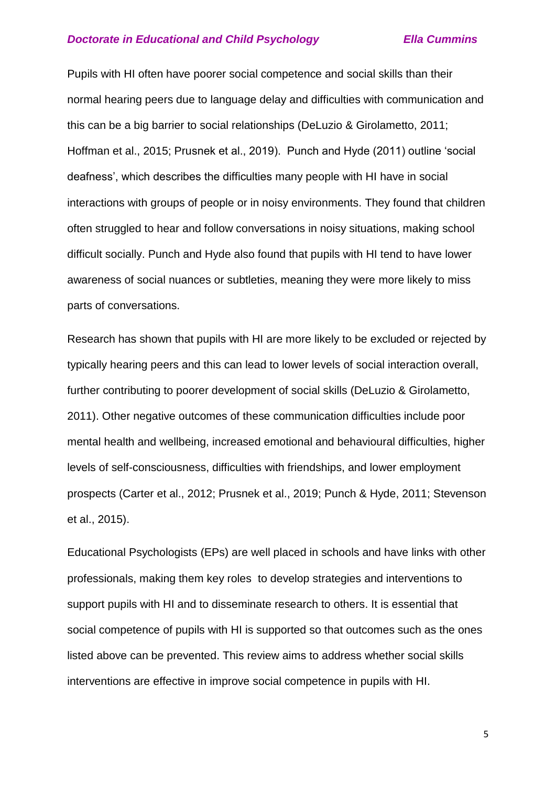Pupils with HI often have poorer social competence and social skills than their normal hearing peers due to language delay and difficulties with communication and this can be a big barrier to social relationships (DeLuzio & Girolametto, 2011; Hoffman et al., 2015; Prusnek et al., 2019). Punch and Hyde (2011) outline 'social deafness', which describes the difficulties many people with HI have in social interactions with groups of people or in noisy environments. They found that children often struggled to hear and follow conversations in noisy situations, making school difficult socially. Punch and Hyde also found that pupils with HI tend to have lower awareness of social nuances or subtleties, meaning they were more likely to miss parts of conversations.

Research has shown that pupils with HI are more likely to be excluded or rejected by typically hearing peers and this can lead to lower levels of social interaction overall, further contributing to poorer development of social skills (DeLuzio & Girolametto, 2011). Other negative outcomes of these communication difficulties include poor mental health and wellbeing, increased emotional and behavioural difficulties, higher levels of self-consciousness, difficulties with friendships, and lower employment prospects (Carter et al., 2012; Prusnek et al., 2019; Punch & Hyde, 2011; Stevenson et al., 2015).

Educational Psychologists (EPs) are well placed in schools and have links with other professionals, making them key roles to develop strategies and interventions to support pupils with HI and to disseminate research to others. It is essential that social competence of pupils with HI is supported so that outcomes such as the ones listed above can be prevented. This review aims to address whether social skills interventions are effective in improve social competence in pupils with HI.

5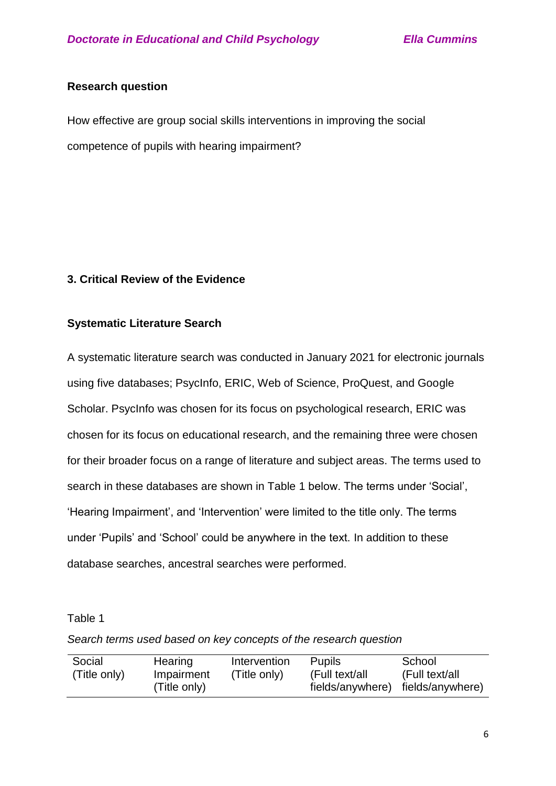## **Research question**

How effective are group social skills interventions in improving the social competence of pupils with hearing impairment?

## **3. Critical Review of the Evidence**

## **Systematic Literature Search**

A systematic literature search was conducted in January 2021 for electronic journals using five databases; PsycInfo, ERIC, Web of Science, ProQuest, and Google Scholar. PsycInfo was chosen for its focus on psychological research, ERIC was chosen for its focus on educational research, and the remaining three were chosen for their broader focus on a range of literature and subject areas. The terms used to search in these databases are shown in Table 1 below. The terms under 'Social', 'Hearing Impairment', and 'Intervention' were limited to the title only. The terms under 'Pupils' and 'School' could be anywhere in the text. In addition to these database searches, ancestral searches were performed.

## Table 1

*Search terms used based on key concepts of the research question*

| Social       | Hearing      | Intervention | <b>Pupils</b>    | School           |
|--------------|--------------|--------------|------------------|------------------|
| (Title only) | Impairment   | (Title only) | (Full text/all   | (Full text/all   |
|              | (Title only) |              | fields/anywhere) | fields/anywhere) |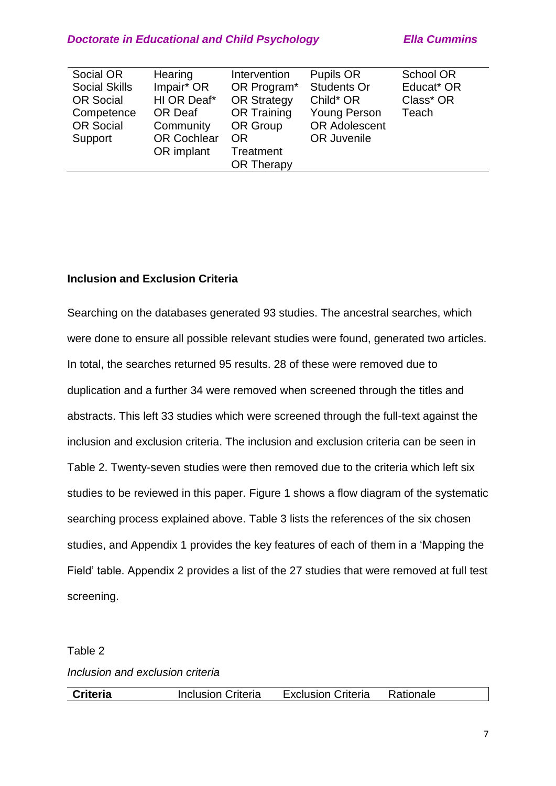| Social OR            | Hearing            | Intervention       | Pupils OR            | School OR  |
|----------------------|--------------------|--------------------|----------------------|------------|
| <b>Social Skills</b> | Impair* OR         | OR Program*        | <b>Students Or</b>   | Educat* OR |
| <b>OR Social</b>     | HI OR Deaf*        | <b>OR Strategy</b> | Child* OR            | Class* OR  |
| Competence           | <b>OR Deaf</b>     | <b>OR Training</b> | <b>Young Person</b>  | Teach      |
| <b>OR Social</b>     | Community          | OR Group           | <b>OR Adolescent</b> |            |
| Support              | <b>OR Cochlear</b> | <b>OR</b>          | OR Juvenile          |            |
|                      | OR implant         | <b>Treatment</b>   |                      |            |
|                      |                    | <b>OR Therapy</b>  |                      |            |

## **Inclusion and Exclusion Criteria**

Searching on the databases generated 93 studies. The ancestral searches, which were done to ensure all possible relevant studies were found, generated two articles. In total, the searches returned 95 results. 28 of these were removed due to duplication and a further 34 were removed when screened through the titles and abstracts. This left 33 studies which were screened through the full-text against the inclusion and exclusion criteria. The inclusion and exclusion criteria can be seen in Table 2. Twenty-seven studies were then removed due to the criteria which left six studies to be reviewed in this paper. Figure 1 shows a flow diagram of the systematic searching process explained above. Table 3 lists the references of the six chosen studies, and Appendix 1 provides the key features of each of them in a 'Mapping the Field' table. Appendix 2 provides a list of the 27 studies that were removed at full test screening.

## Table 2

*Inclusion and exclusion criteria*

| <b>Criteria</b> | <b>Inclusion Criteria</b> | <b>Exclusion Criteria</b> | Rationale |
|-----------------|---------------------------|---------------------------|-----------|
|                 |                           |                           |           |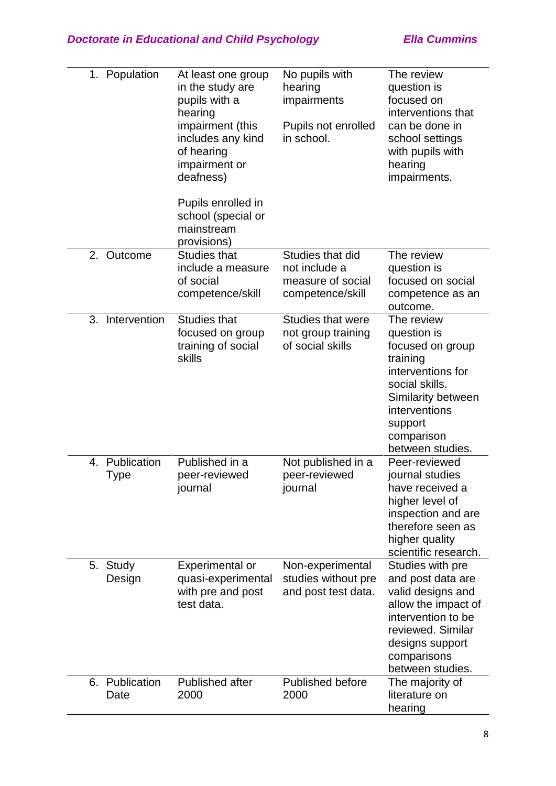| 1. Population                    | At least one group<br>in the study are<br>pupils with a<br>hearing<br>impairment (this<br>includes any kind<br>of hearing<br>impairment or<br>deafness)<br>Pupils enrolled in<br>school (special or<br>mainstream<br>provisions) | No pupils with<br>hearing<br>impairments<br>Pupils not enrolled<br>in school. | The review<br>question is<br>focused on<br>interventions that<br>can be done in<br>school settings<br>with pupils with<br>hearing<br>impairments.                                    |
|----------------------------------|----------------------------------------------------------------------------------------------------------------------------------------------------------------------------------------------------------------------------------|-------------------------------------------------------------------------------|--------------------------------------------------------------------------------------------------------------------------------------------------------------------------------------|
| 2.<br>Outcome                    | <b>Studies that</b><br>include a measure<br>of social<br>competence/skill                                                                                                                                                        | Studies that did<br>not include a<br>measure of social<br>competence/skill    | The review<br>question is<br>focused on social<br>competence as an<br>outcome.                                                                                                       |
| 3.<br>Intervention               | <b>Studies that</b><br>focused on group<br>training of social<br>skills                                                                                                                                                          | <b>Studies that were</b><br>not group training<br>of social skills            | The review<br>question is<br>focused on group<br>training<br>interventions for<br>social skills.<br>Similarity between<br>interventions<br>support<br>comparison<br>between studies. |
| Publication<br>4.<br><b>Type</b> | Published in a<br>peer-reviewed<br>journal                                                                                                                                                                                       | Not published in a<br>peer-reviewed<br>journal                                | Peer-reviewed<br>journal studies<br>have received a<br>higher level of<br>inspection and are<br>therefore seen as<br>higher quality<br>scientific research.                          |
| 5.<br>Study<br>Design            | <b>Experimental or</b><br>quasi-experimental<br>with pre and post<br>test data.                                                                                                                                                  | Non-experimental<br>studies without pre<br>and post test data.                | Studies with pre<br>and post data are<br>valid designs and<br>allow the impact of<br>intervention to be<br>reviewed. Similar<br>designs support<br>comparisons<br>between studies.   |
| 6. Publication<br>Date           | Published after<br>2000                                                                                                                                                                                                          | <b>Published before</b><br>2000                                               | The majority of<br>literature on<br>hearing                                                                                                                                          |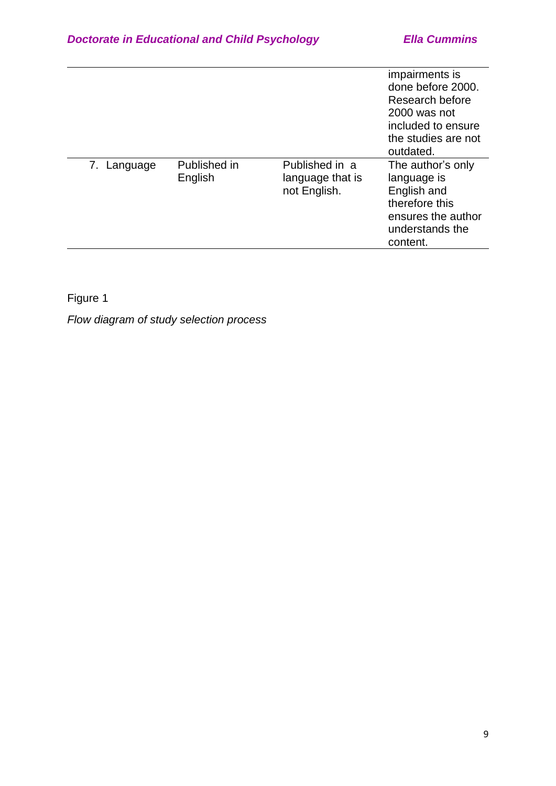|             |                         |                                                    | impairments is<br>done before 2000.<br>Research before<br>2000 was not<br>included to ensure<br>the studies are not<br>outdated. |
|-------------|-------------------------|----------------------------------------------------|----------------------------------------------------------------------------------------------------------------------------------|
| 7. Language | Published in<br>English | Published in a<br>language that is<br>not English. | The author's only<br>language is<br>English and<br>therefore this<br>ensures the author<br>understands the<br>content.           |

Figure 1

*Flow diagram of study selection process*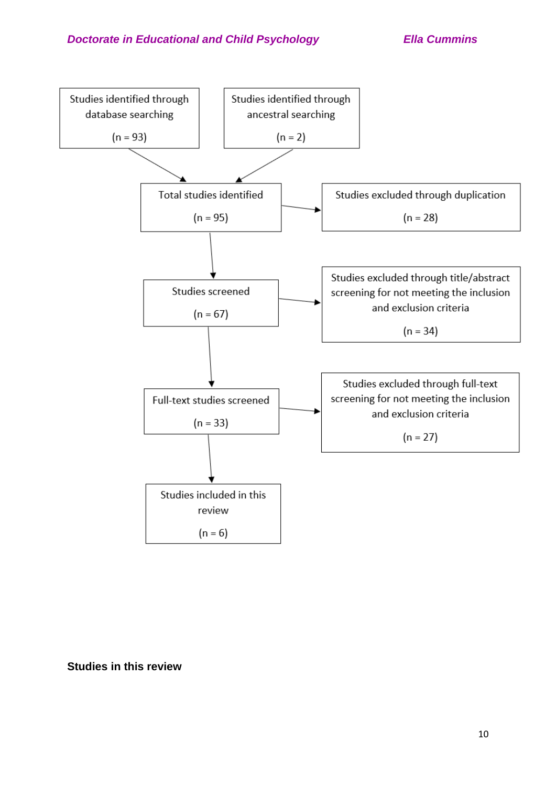

**Studies in this review**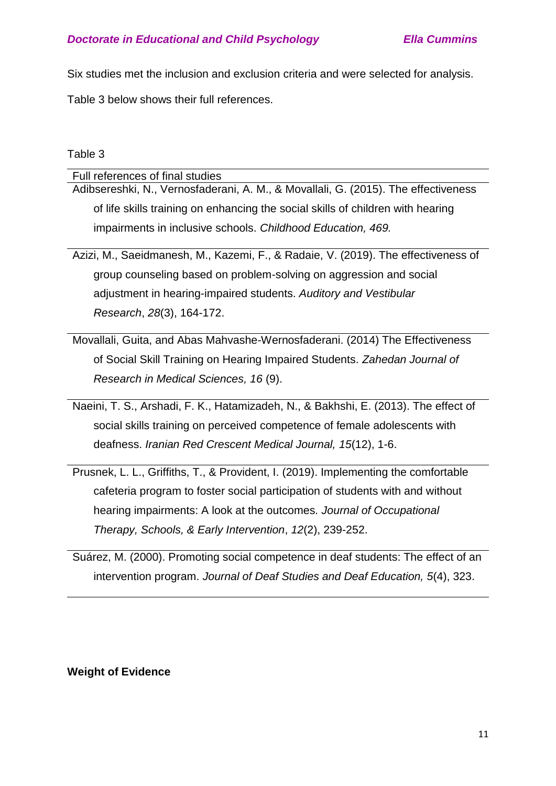Six studies met the inclusion and exclusion criteria and were selected for analysis.

Table 3 below shows their full references.

# Table 3

| Full references of final studies                                                   |
|------------------------------------------------------------------------------------|
| Adibsereshki, N., Vernosfaderani, A. M., & Movallali, G. (2015). The effectiveness |
| of life skills training on enhancing the social skills of children with hearing    |
| impairments in inclusive schools. Childhood Education, 469.                        |
|                                                                                    |

Azizi, M., Saeidmanesh, M., Kazemi, F., & Radaie, V. (2019). The effectiveness of group counseling based on problem-solving on aggression and social adjustment in hearing-impaired students. *Auditory and Vestibular Research*, *28*(3), 164-172.

Movallali, Guita, and Abas Mahvashe-Wernosfaderani. (2014) The Effectiveness of Social Skill Training on Hearing Impaired Students. *Zahedan Journal of Research in Medical Sciences, 16* (9).

Naeini, T. S., Arshadi, F. K., Hatamizadeh, N., & Bakhshi, E. (2013). The effect of social skills training on perceived competence of female adolescents with deafness. *Iranian Red Crescent Medical Journal, 15*(12), 1-6.

Prusnek, L. L., Griffiths, T., & Provident, I. (2019). Implementing the comfortable cafeteria program to foster social participation of students with and without hearing impairments: A look at the outcomes. *Journal of Occupational Therapy, Schools, & Early Intervention*, *12*(2), 239-252.

Suárez, M. (2000). Promoting social competence in deaf students: The effect of an intervention program. *Journal of Deaf Studies and Deaf Education, 5*(4), 323.

# **Weight of Evidence**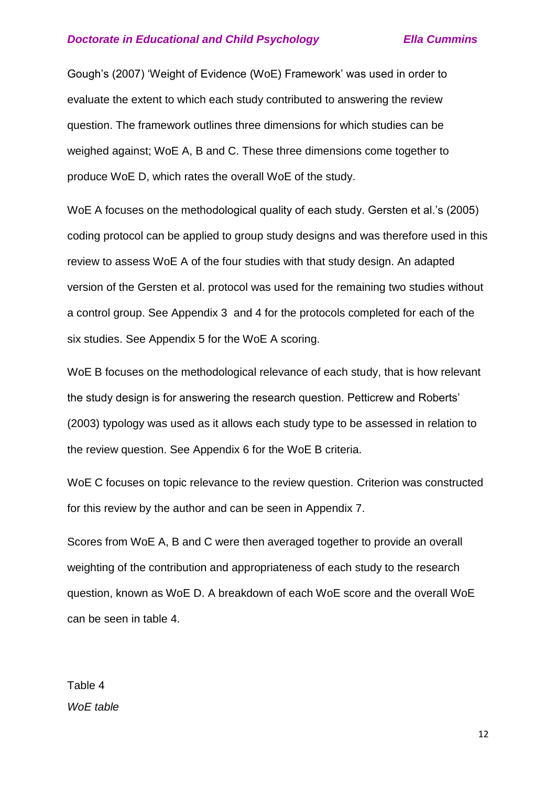Gough's (2007) 'Weight of Evidence (WoE) Framework' was used in order to evaluate the extent to which each study contributed to answering the review question. The framework outlines three dimensions for which studies can be weighed against; WoE A, B and C. These three dimensions come together to produce WoE D, which rates the overall WoE of the study.

WoE A focuses on the methodological quality of each study. Gersten et al.'s (2005) coding protocol can be applied to group study designs and was therefore used in this review to assess WoE A of the four studies with that study design. An adapted version of the Gersten et al. protocol was used for the remaining two studies without a control group. See Appendix 3 and 4 for the protocols completed for each of the six studies. See Appendix 5 for the WoE A scoring.

WoE B focuses on the methodological relevance of each study, that is how relevant the study design is for answering the research question. Petticrew and Roberts' (2003) typology was used as it allows each study type to be assessed in relation to the review question. See Appendix 6 for the WoE B criteria.

WoE C focuses on topic relevance to the review question. Criterion was constructed for this review by the author and can be seen in Appendix 7.

Scores from WoE A, B and C were then averaged together to provide an overall weighting of the contribution and appropriateness of each study to the research question, known as WoE D. A breakdown of each WoE score and the overall WoE can be seen in table 4.

Table 4 *WoE table*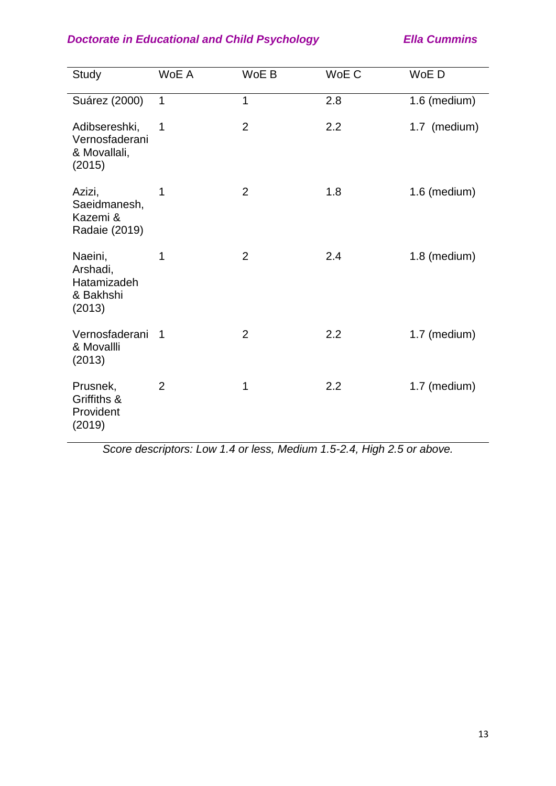| Study                                                     | WoE A          | WoE B          | WoE C | WoE D        |
|-----------------------------------------------------------|----------------|----------------|-------|--------------|
| Suárez (2000)                                             | $\mathbf{1}$   | $\mathbf{1}$   | 2.8   | 1.6 (medium) |
| Adibsereshki,<br>Vernosfaderani<br>& Movallali,<br>(2015) | 1              | $\overline{2}$ | 2.2   | 1.7 (medium) |
| Azizi,<br>Saeidmanesh,<br>Kazemi &<br>Radaie (2019)       | 1              | $\overline{2}$ | 1.8   | 1.6 (medium) |
| Naeini,<br>Arshadi,<br>Hatamizadeh<br>& Bakhshi<br>(2013) | 1              | $\overline{2}$ | 2.4   | 1.8 (medium) |
| Vernosfaderani<br>& Movallli<br>(2013)                    | 1              | $\overline{2}$ | 2.2   | 1.7 (medium) |
| Prusnek,<br>Griffiths &<br>Provident<br>(2019)            | $\overline{2}$ | 1              | 2.2   | 1.7 (medium) |

*Score descriptors: Low 1.4 or less, Medium 1.5-2.4, High 2.5 or above.*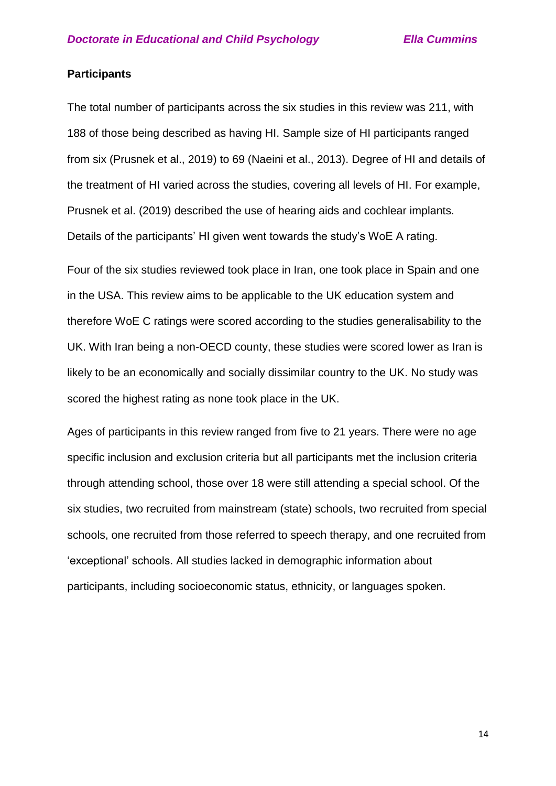## **Participants**

The total number of participants across the six studies in this review was 211, with 188 of those being described as having HI. Sample size of HI participants ranged from six (Prusnek et al., 2019) to 69 (Naeini et al., 2013). Degree of HI and details of the treatment of HI varied across the studies, covering all levels of HI. For example, Prusnek et al. (2019) described the use of hearing aids and cochlear implants. Details of the participants' HI given went towards the study's WoE A rating.

Four of the six studies reviewed took place in Iran, one took place in Spain and one in the USA. This review aims to be applicable to the UK education system and therefore WoE C ratings were scored according to the studies generalisability to the UK. With Iran being a non-OECD county, these studies were scored lower as Iran is likely to be an economically and socially dissimilar country to the UK. No study was scored the highest rating as none took place in the UK.

Ages of participants in this review ranged from five to 21 years. There were no age specific inclusion and exclusion criteria but all participants met the inclusion criteria through attending school, those over 18 were still attending a special school. Of the six studies, two recruited from mainstream (state) schools, two recruited from special schools, one recruited from those referred to speech therapy, and one recruited from 'exceptional' schools. All studies lacked in demographic information about participants, including socioeconomic status, ethnicity, or languages spoken.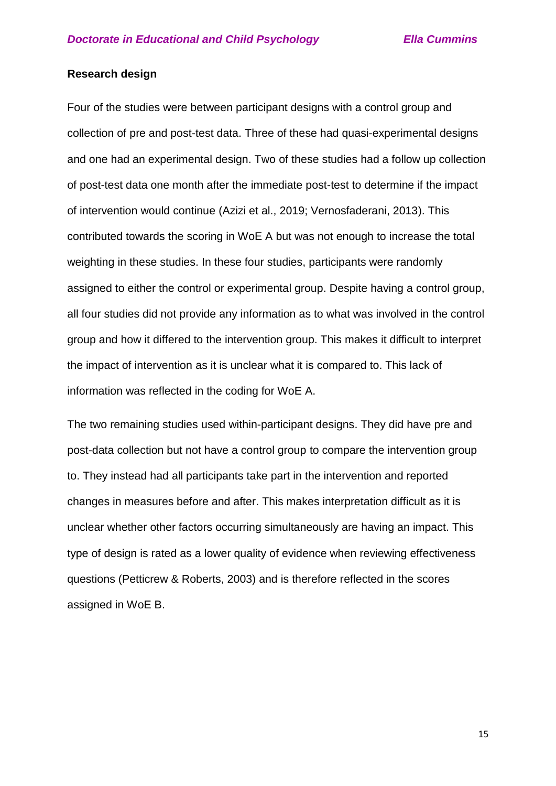## **Research design**

Four of the studies were between participant designs with a control group and collection of pre and post-test data. Three of these had quasi-experimental designs and one had an experimental design. Two of these studies had a follow up collection of post-test data one month after the immediate post-test to determine if the impact of intervention would continue (Azizi et al., 2019; Vernosfaderani, 2013). This contributed towards the scoring in WoE A but was not enough to increase the total weighting in these studies. In these four studies, participants were randomly assigned to either the control or experimental group. Despite having a control group, all four studies did not provide any information as to what was involved in the control group and how it differed to the intervention group. This makes it difficult to interpret the impact of intervention as it is unclear what it is compared to. This lack of information was reflected in the coding for WoE A.

The two remaining studies used within-participant designs. They did have pre and post-data collection but not have a control group to compare the intervention group to. They instead had all participants take part in the intervention and reported changes in measures before and after. This makes interpretation difficult as it is unclear whether other factors occurring simultaneously are having an impact. This type of design is rated as a lower quality of evidence when reviewing effectiveness questions (Petticrew & Roberts, 2003) and is therefore reflected in the scores assigned in WoE B.

15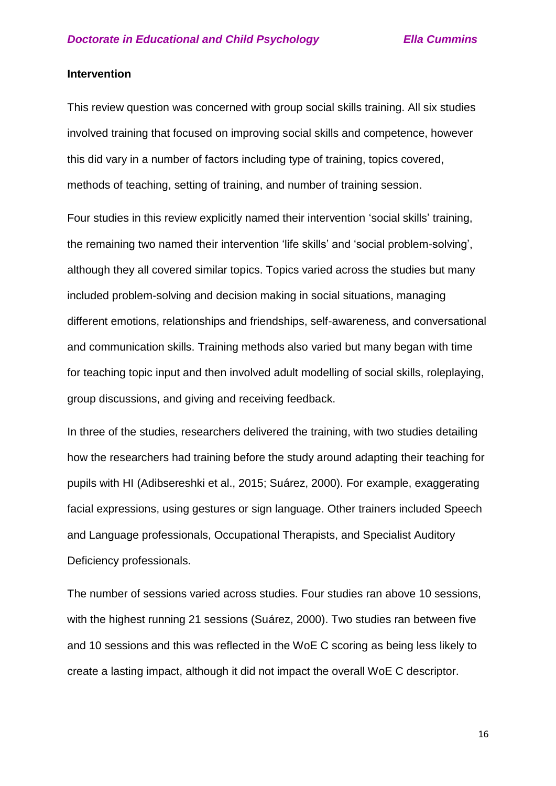### **Intervention**

This review question was concerned with group social skills training. All six studies involved training that focused on improving social skills and competence, however this did vary in a number of factors including type of training, topics covered, methods of teaching, setting of training, and number of training session.

Four studies in this review explicitly named their intervention 'social skills' training, the remaining two named their intervention 'life skills' and 'social problem-solving', although they all covered similar topics. Topics varied across the studies but many included problem-solving and decision making in social situations, managing different emotions, relationships and friendships, self-awareness, and conversational and communication skills. Training methods also varied but many began with time for teaching topic input and then involved adult modelling of social skills, roleplaying, group discussions, and giving and receiving feedback.

In three of the studies, researchers delivered the training, with two studies detailing how the researchers had training before the study around adapting their teaching for pupils with HI (Adibsereshki et al., 2015; Suárez, 2000). For example, exaggerating facial expressions, using gestures or sign language. Other trainers included Speech and Language professionals, Occupational Therapists, and Specialist Auditory Deficiency professionals.

The number of sessions varied across studies. Four studies ran above 10 sessions, with the highest running 21 sessions (Suárez, 2000). Two studies ran between five and 10 sessions and this was reflected in the WoE C scoring as being less likely to create a lasting impact, although it did not impact the overall WoE C descriptor.

16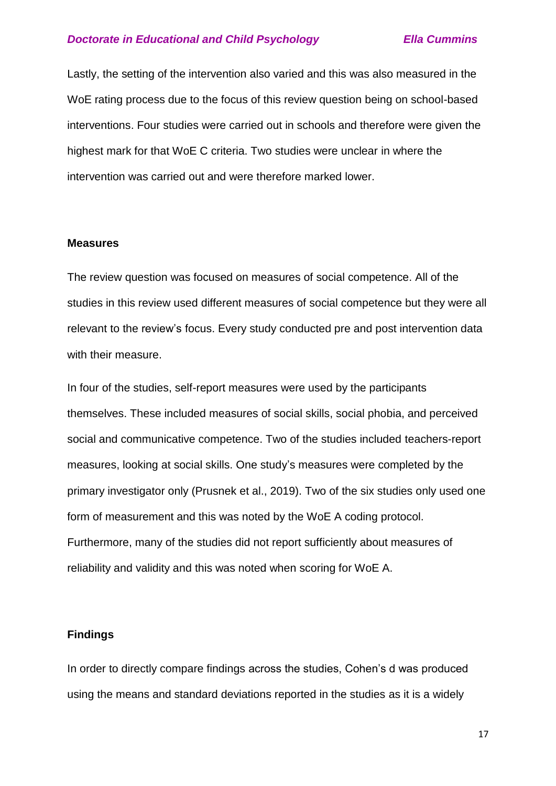Lastly, the setting of the intervention also varied and this was also measured in the WoE rating process due to the focus of this review question being on school-based interventions. Four studies were carried out in schools and therefore were given the highest mark for that WoE C criteria. Two studies were unclear in where the intervention was carried out and were therefore marked lower.

### **Measures**

The review question was focused on measures of social competence. All of the studies in this review used different measures of social competence but they were all relevant to the review's focus. Every study conducted pre and post intervention data with their measure.

In four of the studies, self-report measures were used by the participants themselves. These included measures of social skills, social phobia, and perceived social and communicative competence. Two of the studies included teachers-report measures, looking at social skills. One study's measures were completed by the primary investigator only (Prusnek et al., 2019). Two of the six studies only used one form of measurement and this was noted by the WoE A coding protocol. Furthermore, many of the studies did not report sufficiently about measures of reliability and validity and this was noted when scoring for WoE A.

## **Findings**

In order to directly compare findings across the studies, Cohen's d was produced using the means and standard deviations reported in the studies as it is a widely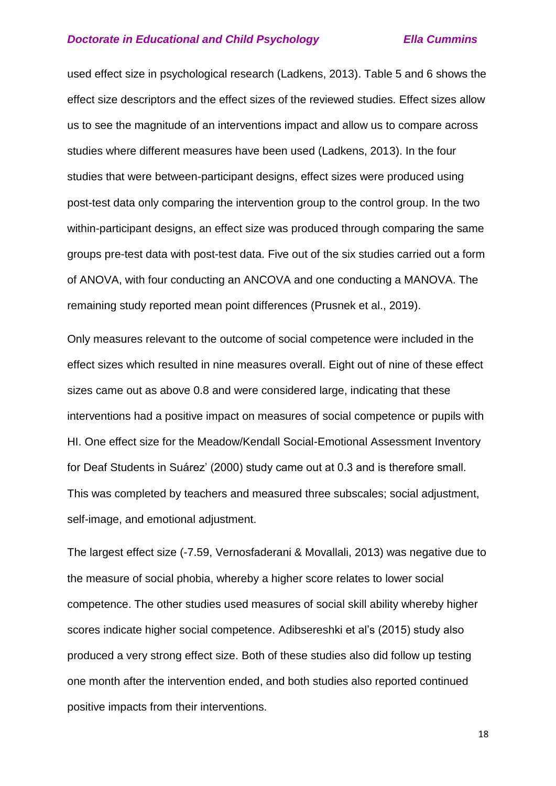used effect size in psychological research (Ladkens, 2013). Table 5 and 6 shows the effect size descriptors and the effect sizes of the reviewed studies. Effect sizes allow us to see the magnitude of an interventions impact and allow us to compare across studies where different measures have been used (Ladkens, 2013). In the four studies that were between-participant designs, effect sizes were produced using post-test data only comparing the intervention group to the control group. In the two within-participant designs, an effect size was produced through comparing the same groups pre-test data with post-test data. Five out of the six studies carried out a form of ANOVA, with four conducting an ANCOVA and one conducting a MANOVA. The remaining study reported mean point differences (Prusnek et al., 2019).

Only measures relevant to the outcome of social competence were included in the effect sizes which resulted in nine measures overall. Eight out of nine of these effect sizes came out as above 0.8 and were considered large, indicating that these interventions had a positive impact on measures of social competence or pupils with HI. One effect size for the Meadow/Kendall Social-Emotional Assessment Inventory for Deaf Students in Suárez' (2000) study came out at 0.3 and is therefore small. This was completed by teachers and measured three subscales; social adjustment, self-image, and emotional adjustment.

The largest effect size (-7.59, Vernosfaderani & Movallali, 2013) was negative due to the measure of social phobia, whereby a higher score relates to lower social competence. The other studies used measures of social skill ability whereby higher scores indicate higher social competence. Adibsereshki et al's (2015) study also produced a very strong effect size. Both of these studies also did follow up testing one month after the intervention ended, and both studies also reported continued positive impacts from their interventions.

18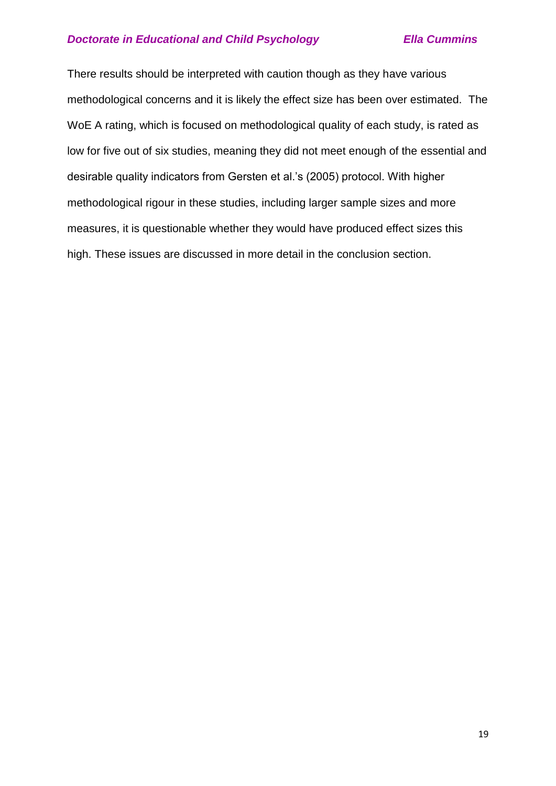There results should be interpreted with caution though as they have various methodological concerns and it is likely the effect size has been over estimated. The WoE A rating, which is focused on methodological quality of each study, is rated as low for five out of six studies, meaning they did not meet enough of the essential and desirable quality indicators from Gersten et al.'s (2005) protocol. With higher methodological rigour in these studies, including larger sample sizes and more measures, it is questionable whether they would have produced effect sizes this high. These issues are discussed in more detail in the conclusion section.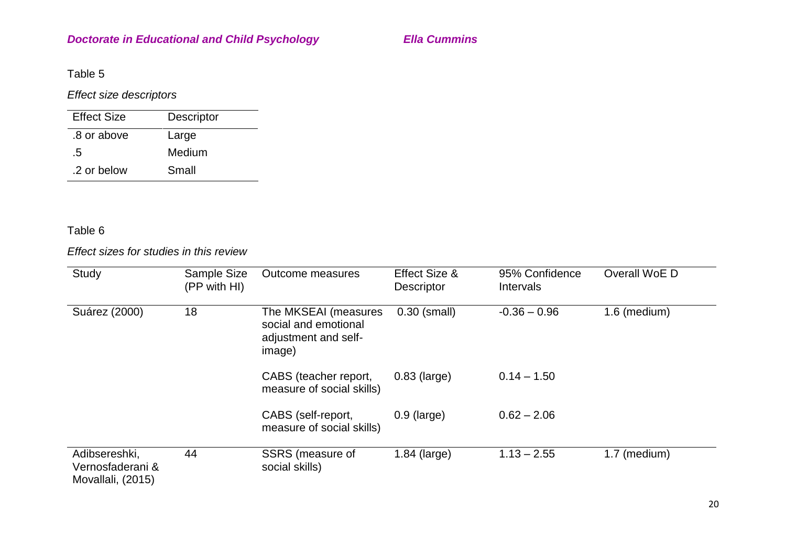Table 5

*Effect size descriptors*

| <b>Effect Size</b> | Descriptor |
|--------------------|------------|
| .8 or above        | Large      |
| .5                 | Medium     |
| .2 or below        | Small      |

# Table 6

*Effect sizes for studies in this review*

| Study                                                  | Sample Size<br>(PP with HI) | <b>Outcome measures</b>                                                        | Effect Size &<br><b>Descriptor</b> | 95% Confidence<br><b>Intervals</b> | Overall WoE D |
|--------------------------------------------------------|-----------------------------|--------------------------------------------------------------------------------|------------------------------------|------------------------------------|---------------|
| Suárez (2000)                                          | 18                          | The MKSEAI (measures<br>social and emotional<br>adjustment and self-<br>image) | $0.30$ (small)                     | $-0.36 - 0.96$                     | 1.6 (medium)  |
|                                                        |                             | CABS (teacher report,<br>measure of social skills)                             | $0.83$ (large)                     | $0.14 - 1.50$                      |               |
|                                                        |                             | CABS (self-report,<br>measure of social skills)                                | $0.9$ (large)                      | $0.62 - 2.06$                      |               |
| Adibsereshki,<br>Vernosfaderani &<br>Movallali, (2015) | 44                          | SSRS (measure of<br>social skills)                                             | $1.84$ (large)                     | $1.13 - 2.55$                      | 1.7 (medium)  |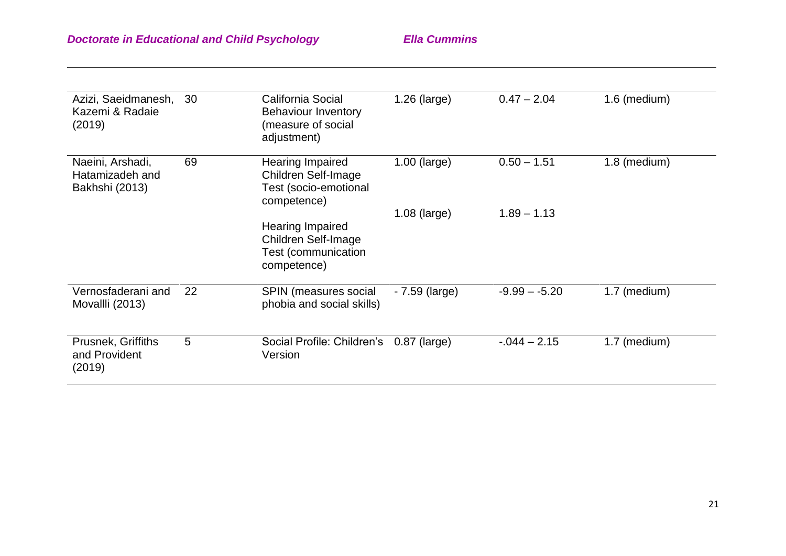| Azizi, Saeidmanesh,<br>Kazemi & Radaie<br>(2019)      | 30 | California Social<br><b>Behaviour Inventory</b><br>(measure of social<br>adjustment)               | $1.26$ (large)  | $0.47 - 2.04$   | 1.6 (medium) |
|-------------------------------------------------------|----|----------------------------------------------------------------------------------------------------|-----------------|-----------------|--------------|
| Naeini, Arshadi,<br>Hatamizadeh and<br>Bakhshi (2013) | 69 | <b>Hearing Impaired</b><br><b>Children Self-Image</b><br>Test (socio-emotional<br>competence)      | $1.00$ (large)  | $0.50 - 1.51$   | 1.8 (medium) |
|                                                       |    | <b>Hearing Impaired</b><br><b>Children Self-Image</b><br><b>Test (communication</b><br>competence) | $1.08$ (large)  | $1.89 - 1.13$   |              |
| Vernosfaderani and<br>Movallli (2013)                 | 22 | <b>SPIN (measures social</b><br>phobia and social skills)                                          | $-7.59$ (large) | $-9.99 - -5.20$ | 1.7 (medium) |
| <b>Prusnek, Griffiths</b><br>and Provident<br>(2019)  | 5  | Social Profile: Children's<br>Version                                                              | $0.87$ (large)  | $-0.044 - 2.15$ | 1.7 (medium) |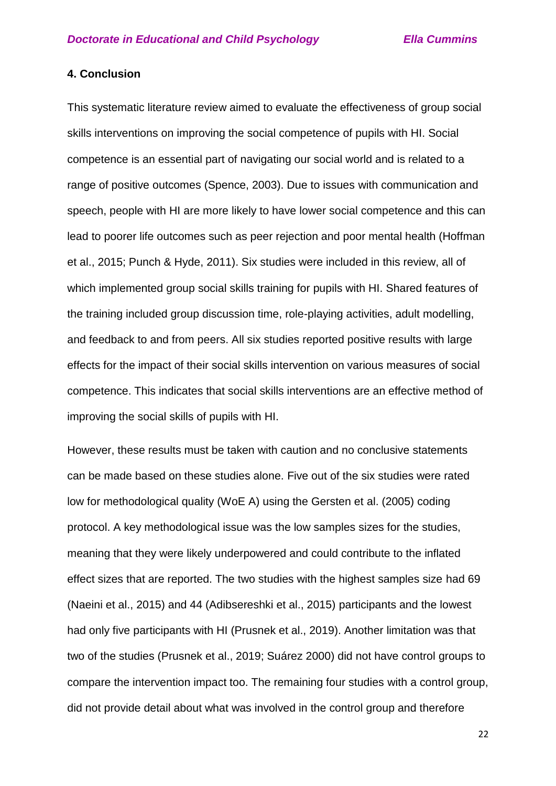## **4. Conclusion**

This systematic literature review aimed to evaluate the effectiveness of group social skills interventions on improving the social competence of pupils with HI. Social competence is an essential part of navigating our social world and is related to a range of positive outcomes (Spence, 2003). Due to issues with communication and speech, people with HI are more likely to have lower social competence and this can lead to poorer life outcomes such as peer rejection and poor mental health (Hoffman et al., 2015; Punch & Hyde, 2011). Six studies were included in this review, all of which implemented group social skills training for pupils with HI. Shared features of the training included group discussion time, role-playing activities, adult modelling, and feedback to and from peers. All six studies reported positive results with large effects for the impact of their social skills intervention on various measures of social competence. This indicates that social skills interventions are an effective method of improving the social skills of pupils with HI.

However, these results must be taken with caution and no conclusive statements can be made based on these studies alone. Five out of the six studies were rated low for methodological quality (WoE A) using the Gersten et al. (2005) coding protocol. A key methodological issue was the low samples sizes for the studies, meaning that they were likely underpowered and could contribute to the inflated effect sizes that are reported. The two studies with the highest samples size had 69 (Naeini et al., 2015) and 44 (Adibsereshki et al., 2015) participants and the lowest had only five participants with HI (Prusnek et al., 2019). Another limitation was that two of the studies (Prusnek et al., 2019; Suárez 2000) did not have control groups to compare the intervention impact too. The remaining four studies with a control group, did not provide detail about what was involved in the control group and therefore

22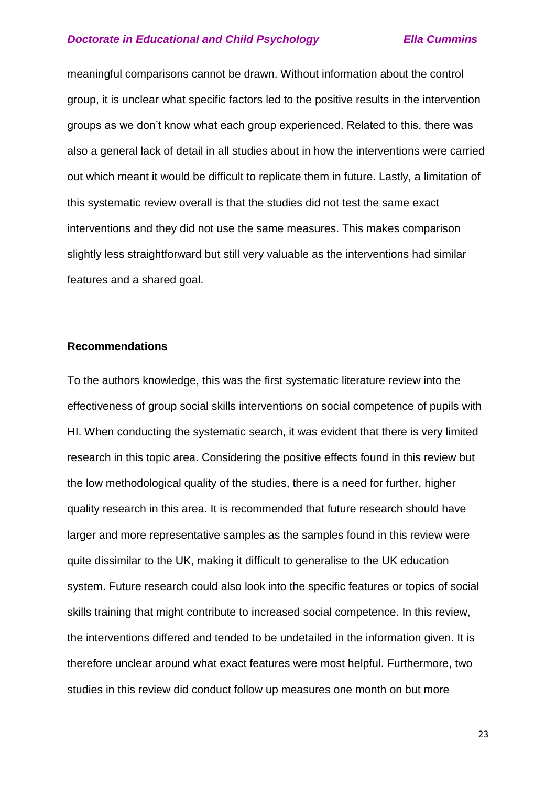meaningful comparisons cannot be drawn. Without information about the control group, it is unclear what specific factors led to the positive results in the intervention groups as we don't know what each group experienced. Related to this, there was also a general lack of detail in all studies about in how the interventions were carried out which meant it would be difficult to replicate them in future. Lastly, a limitation of this systematic review overall is that the studies did not test the same exact interventions and they did not use the same measures. This makes comparison slightly less straightforward but still very valuable as the interventions had similar features and a shared goal.

## **Recommendations**

To the authors knowledge, this was the first systematic literature review into the effectiveness of group social skills interventions on social competence of pupils with HI. When conducting the systematic search, it was evident that there is very limited research in this topic area. Considering the positive effects found in this review but the low methodological quality of the studies, there is a need for further, higher quality research in this area. It is recommended that future research should have larger and more representative samples as the samples found in this review were quite dissimilar to the UK, making it difficult to generalise to the UK education system. Future research could also look into the specific features or topics of social skills training that might contribute to increased social competence. In this review, the interventions differed and tended to be undetailed in the information given. It is therefore unclear around what exact features were most helpful. Furthermore, two studies in this review did conduct follow up measures one month on but more

23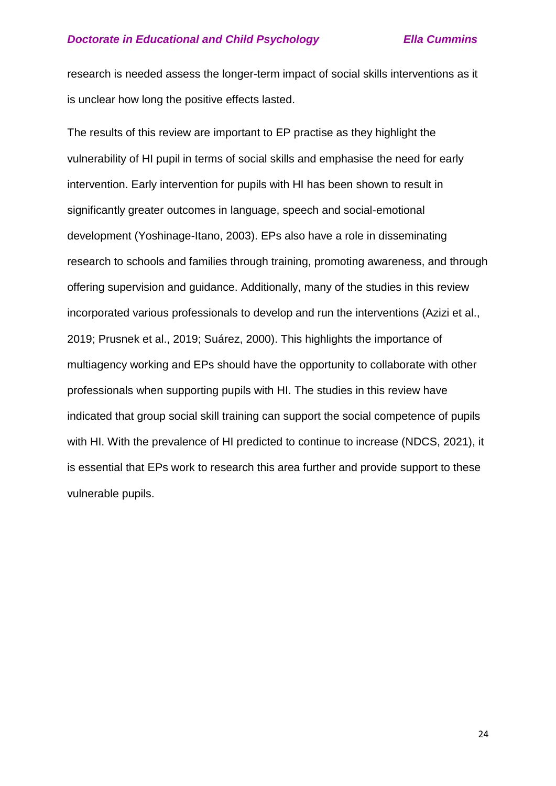research is needed assess the longer-term impact of social skills interventions as it is unclear how long the positive effects lasted.

The results of this review are important to EP practise as they highlight the vulnerability of HI pupil in terms of social skills and emphasise the need for early intervention. Early intervention for pupils with HI has been shown to result in significantly greater outcomes in language, speech and social-emotional development (Yoshinage-Itano, 2003). EPs also have a role in disseminating research to schools and families through training, promoting awareness, and through offering supervision and guidance. Additionally, many of the studies in this review incorporated various professionals to develop and run the interventions (Azizi et al., 2019; Prusnek et al., 2019; Suárez, 2000). This highlights the importance of multiagency working and EPs should have the opportunity to collaborate with other professionals when supporting pupils with HI. The studies in this review have indicated that group social skill training can support the social competence of pupils with HI. With the prevalence of HI predicted to continue to increase (NDCS, 2021), it is essential that EPs work to research this area further and provide support to these vulnerable pupils.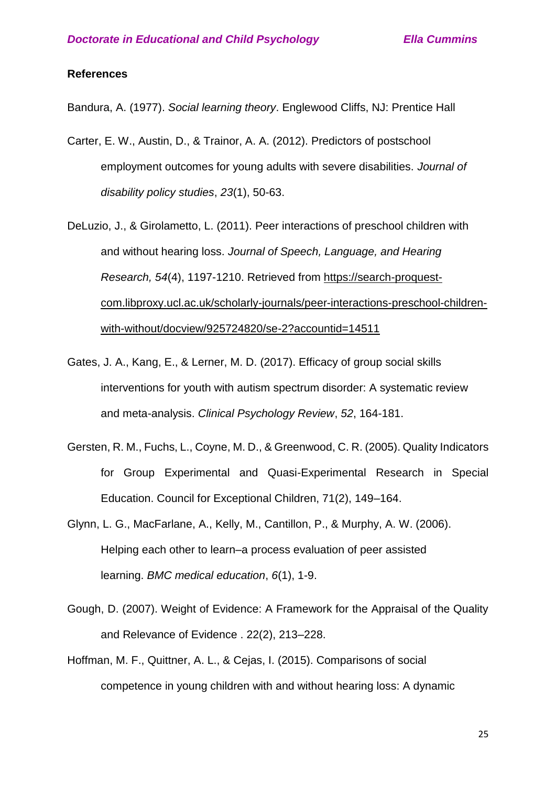### **References**

Bandura, A. (1977). *Social learning theory*. Englewood Cliffs, NJ: Prentice Hall

- Carter, E. W., Austin, D., & Trainor, A. A. (2012). Predictors of postschool employment outcomes for young adults with severe disabilities. *Journal of disability policy studies*, *23*(1), 50-63.
- DeLuzio, J., & Girolametto, L. (2011). Peer interactions of preschool children with and without hearing loss. *Journal of Speech, Language, and Hearing Research, 54*(4), 1197-1210. Retrieved from [https://search-proquest](https://search-proquest-com.libproxy.ucl.ac.uk/scholarly-journals/peer-interactions-preschool-children-with-without/docview/925724820/se-2?accountid=14511)[com.libproxy.ucl.ac.uk/scholarly-journals/peer-interactions-preschool-children](https://search-proquest-com.libproxy.ucl.ac.uk/scholarly-journals/peer-interactions-preschool-children-with-without/docview/925724820/se-2?accountid=14511)[with-without/docview/925724820/se-2?accountid=14511](https://search-proquest-com.libproxy.ucl.ac.uk/scholarly-journals/peer-interactions-preschool-children-with-without/docview/925724820/se-2?accountid=14511)
- Gates, J. A., Kang, E., & Lerner, M. D. (2017). Efficacy of group social skills interventions for youth with autism spectrum disorder: A systematic review and meta-analysis. *Clinical Psychology Review*, *52*, 164-181.
- Gersten, R. M., Fuchs, L., Coyne, M. D., & Greenwood, C. R. (2005). Quality Indicators for Group Experimental and Quasi-Experimental Research in Special Education. Council for Exceptional Children, 71(2), 149–164.
- Glynn, L. G., MacFarlane, A., Kelly, M., Cantillon, P., & Murphy, A. W. (2006). Helping each other to learn–a process evaluation of peer assisted learning. *BMC medical education*, *6*(1), 1-9.
- Gough, D. (2007). Weight of Evidence: A Framework for the Appraisal of the Quality and Relevance of Evidence . 22(2), 213–228.
- Hoffman, M. F., Quittner, A. L., & Cejas, I. (2015). Comparisons of social competence in young children with and without hearing loss: A dynamic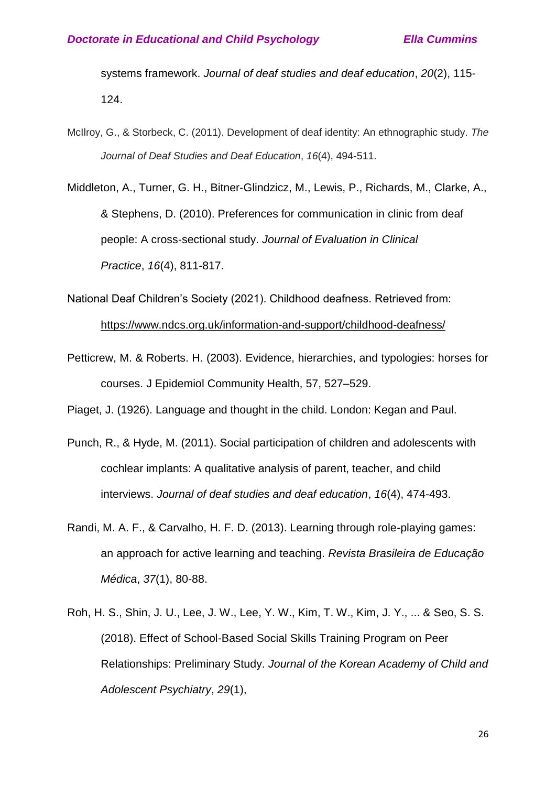systems framework. *Journal of deaf studies and deaf education*, *20*(2), 115- 124.

McIlroy, G., & Storbeck, C. (2011). Development of deaf identity: An ethnographic study. *The Journal of Deaf Studies and Deaf Education*, *16*(4), 494-511.

Middleton, A., Turner, G. H., Bitner‐Glindzicz, M., Lewis, P., Richards, M., Clarke, A., & Stephens, D. (2010). Preferences for communication in clinic from deaf people: A cross‐sectional study. *Journal of Evaluation in Clinical Practice*, *16*(4), 811-817.

National Deaf Children's Society (2021). Childhood deafness. Retrieved from: <https://www.ndcs.org.uk/information-and-support/childhood-deafness/>

Petticrew, M. & Roberts. H. (2003). Evidence, hierarchies, and typologies: horses for courses. J Epidemiol Community Health, 57, 527–529.

Piaget, J. (1926). Language and thought in the child. London: Kegan and Paul.

- Punch, R., & Hyde, M. (2011). Social participation of children and adolescents with cochlear implants: A qualitative analysis of parent, teacher, and child interviews. *Journal of deaf studies and deaf education*, *16*(4), 474-493.
- Randi, M. A. F., & Carvalho, H. F. D. (2013). Learning through role-playing games: an approach for active learning and teaching. *Revista Brasileira de Educação Médica*, *37*(1), 80-88.
- Roh, H. S., Shin, J. U., Lee, J. W., Lee, Y. W., Kim, T. W., Kim, J. Y., ... & Seo, S. S. (2018). Effect of School-Based Social Skills Training Program on Peer Relationships: Preliminary Study. *Journal of the Korean Academy of Child and Adolescent Psychiatry*, *29*(1),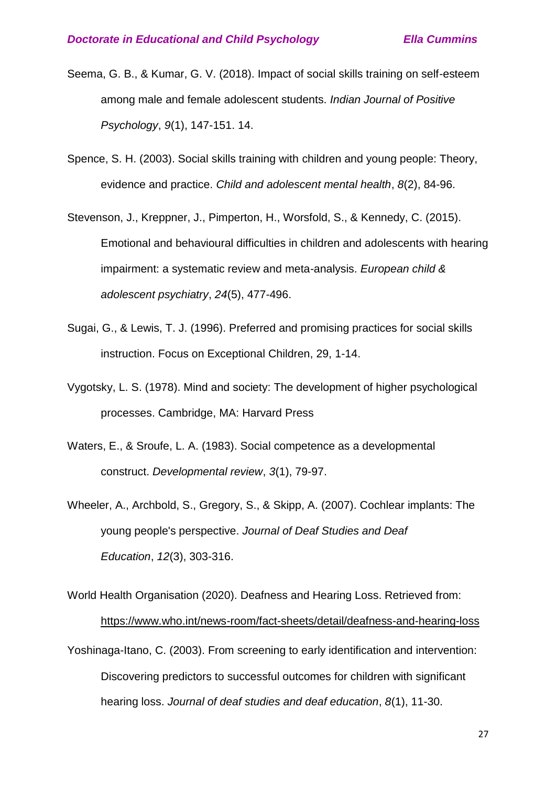- Seema, G. B., & Kumar, G. V. (2018). Impact of social skills training on self-esteem among male and female adolescent students. *Indian Journal of Positive Psychology*, *9*(1), 147-151. 14.
- Spence, S. H. (2003). Social skills training with children and young people: Theory, evidence and practice. *Child and adolescent mental health*, *8*(2), 84-96.
- Stevenson, J., Kreppner, J., Pimperton, H., Worsfold, S., & Kennedy, C. (2015). Emotional and behavioural difficulties in children and adolescents with hearing impairment: a systematic review and meta-analysis. *European child & adolescent psychiatry*, *24*(5), 477-496.
- Sugai, G., & Lewis, T. J. (1996). Preferred and promising practices for social skills instruction. Focus on Exceptional Children, 29, 1-14.
- Vygotsky, L. S. (1978). Mind and society: The development of higher psychological processes. Cambridge, MA: Harvard Press
- Waters, E., & Sroufe, L. A. (1983). Social competence as a developmental construct. *Developmental review*, *3*(1), 79-97.
- Wheeler, A., Archbold, S., Gregory, S., & Skipp, A. (2007). Cochlear implants: The young people's perspective. *Journal of Deaf Studies and Deaf Education*, *12*(3), 303-316.

World Health Organisation (2020). Deafness and Hearing Loss. Retrieved from: <https://www.who.int/news-room/fact-sheets/detail/deafness-and-hearing-loss>

Yoshinaga-Itano, C. (2003). From screening to early identification and intervention: Discovering predictors to successful outcomes for children with significant hearing loss. *Journal of deaf studies and deaf education*, *8*(1), 11-30.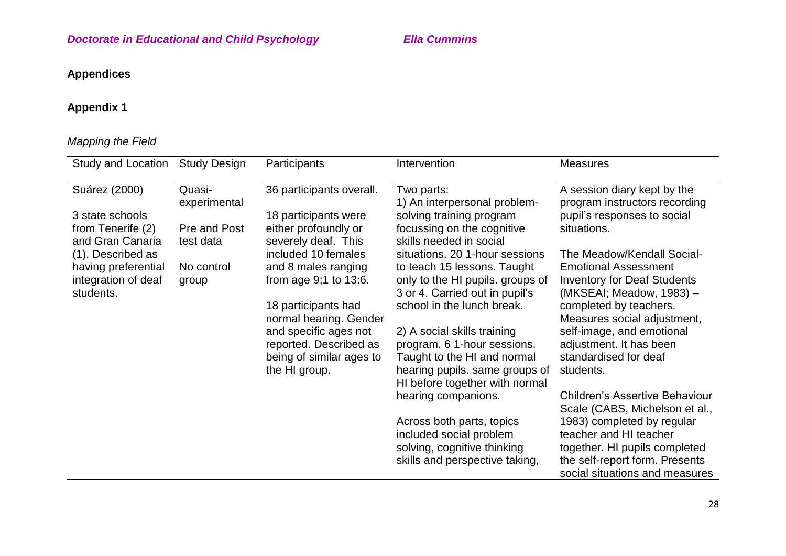# **Appendices**

# **Appendix 1**

# *Mapping the Field*

| Study and Location                                      | <b>Study Design</b>    | Participants                                       | Intervention                                                                                      | <b>Measures</b>                                                                               |
|---------------------------------------------------------|------------------------|----------------------------------------------------|---------------------------------------------------------------------------------------------------|-----------------------------------------------------------------------------------------------|
| Suárez (2000)                                           | Quasi-<br>experimental | 36 participants overall.                           | Two parts:<br>1) An interpersonal problem-                                                        | A session diary kept by the<br>program instructors recording                                  |
| 3 state schools<br>from Tenerife (2)                    | Pre and Post           | 18 participants were<br>either profoundly or       | solving training program<br>focussing on the cognitive                                            | pupil's responses to social<br>situations.                                                    |
| and Gran Canaria                                        | test data              | severely deaf. This                                | skills needed in social                                                                           |                                                                                               |
| (1). Described as                                       |                        | included 10 females                                | situations. 20 1-hour sessions                                                                    | The Meadow/Kendall Social-                                                                    |
| having preferential<br>integration of deaf<br>students. | No control<br>group    | and 8 males ranging<br>from age $9:1$ to $13:6$ .  | to teach 15 lessons. Taught<br>only to the HI pupils. groups of<br>3 or 4. Carried out in pupil's | <b>Emotional Assessment</b><br><b>Inventory for Deaf Students</b><br>(MKSEAI; Meadow, 1983) - |
|                                                         |                        | 18 participants had<br>normal hearing. Gender      | school in the lunch break.                                                                        | completed by teachers.<br>Measures social adjustment,                                         |
|                                                         |                        | and specific ages not                              | 2) A social skills training                                                                       | self-image, and emotional                                                                     |
|                                                         |                        | reported. Described as<br>being of similar ages to | program. 6 1-hour sessions.<br>Taught to the HI and normal                                        | adjustment. It has been<br>standardised for deaf                                              |
|                                                         |                        | the HI group.                                      | hearing pupils. same groups of<br>HI before together with normal                                  | students.                                                                                     |
|                                                         |                        |                                                    | hearing companions.                                                                               | <b>Children's Assertive Behaviour</b><br>Scale (CABS, Michelson et al.,                       |
|                                                         |                        |                                                    | Across both parts, topics<br>included social problem                                              | 1983) completed by regular<br>teacher and HI teacher                                          |
|                                                         |                        |                                                    | solving, cognitive thinking                                                                       | together. HI pupils completed                                                                 |
|                                                         |                        |                                                    | skills and perspective taking,                                                                    | the self-report form. Presents<br>social situations and measures                              |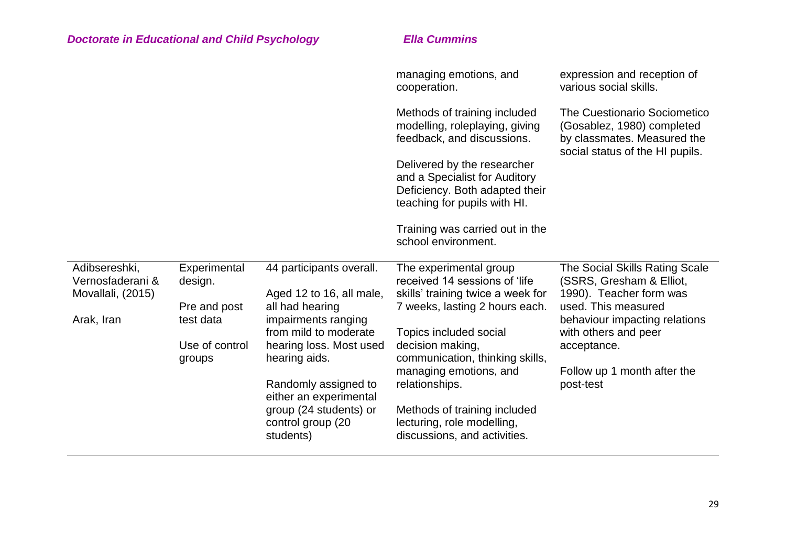|                                   |                          |                                                | managing emotions, and<br>cooperation.                                                                                         | expression and reception of<br>various social skills.                                                                               |
|-----------------------------------|--------------------------|------------------------------------------------|--------------------------------------------------------------------------------------------------------------------------------|-------------------------------------------------------------------------------------------------------------------------------------|
|                                   |                          |                                                | Methods of training included<br>modelling, roleplaying, giving<br>feedback, and discussions.                                   | <b>The Cuestionario Sociometico</b><br>(Gosablez, 1980) completed<br>by classmates. Measured the<br>social status of the HI pupils. |
|                                   |                          |                                                | Delivered by the researcher<br>and a Specialist for Auditory<br>Deficiency. Both adapted their<br>teaching for pupils with HI. |                                                                                                                                     |
|                                   |                          |                                                | Training was carried out in the<br>school environment.                                                                         |                                                                                                                                     |
| Adibsereshki,<br>Vernosfaderani & | Experimental<br>design.  | 44 participants overall.                       | The experimental group<br>received 14 sessions of 'life                                                                        | The Social Skills Rating Scale<br>(SSRS, Gresham & Elliot,                                                                          |
| Movallali, (2015)                 |                          | Aged 12 to 16, all male,                       | skills' training twice a week for                                                                                              | 1990). Teacher form was                                                                                                             |
|                                   | Pre and post             | all had hearing                                | 7 weeks, lasting 2 hours each.                                                                                                 | used. This measured                                                                                                                 |
| Arak, Iran                        | test data                | impairments ranging<br>from mild to moderate   | Topics included social                                                                                                         | behaviour impacting relations<br>with others and peer                                                                               |
|                                   | Use of control<br>groups | hearing loss. Most used<br>hearing aids.       | decision making,<br>communication, thinking skills,                                                                            | acceptance.                                                                                                                         |
|                                   |                          |                                                | managing emotions, and                                                                                                         | Follow up 1 month after the                                                                                                         |
|                                   |                          | Randomly assigned to<br>either an experimental | relationships.                                                                                                                 | post-test                                                                                                                           |
|                                   |                          | group (24 students) or<br>control group (20    | Methods of training included<br>lecturing, role modelling,                                                                     |                                                                                                                                     |
|                                   |                          | students)                                      | discussions, and activities.                                                                                                   |                                                                                                                                     |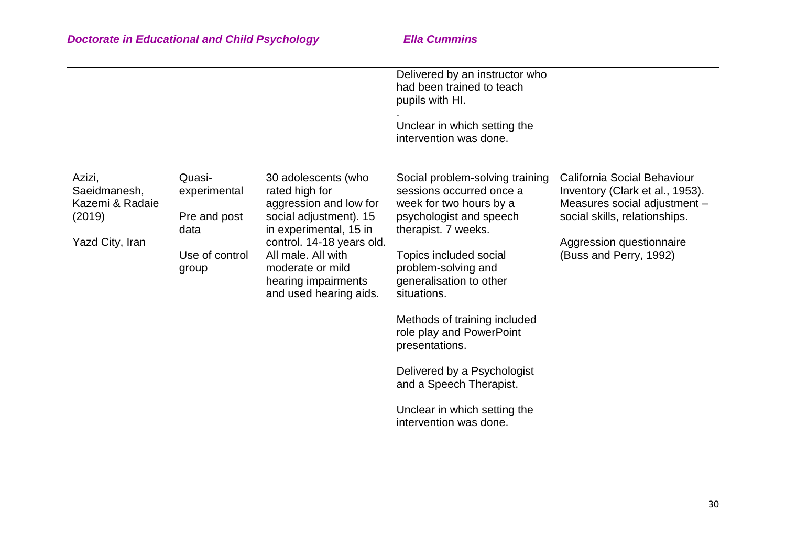|                                                                        |                                                                           |                                                                                                                                                                                                                                             | Delivered by an instructor who<br>had been trained to teach<br>pupils with HI.<br>Unclear in which setting the<br>intervention was done.                                                                                                                                                                                                                                                                                              |                                                                                                                                                                                       |
|------------------------------------------------------------------------|---------------------------------------------------------------------------|---------------------------------------------------------------------------------------------------------------------------------------------------------------------------------------------------------------------------------------------|---------------------------------------------------------------------------------------------------------------------------------------------------------------------------------------------------------------------------------------------------------------------------------------------------------------------------------------------------------------------------------------------------------------------------------------|---------------------------------------------------------------------------------------------------------------------------------------------------------------------------------------|
| Azizi,<br>Saeidmanesh,<br>Kazemi & Radaie<br>(2019)<br>Yazd City, Iran | Quasi-<br>experimental<br>Pre and post<br>data<br>Use of control<br>group | 30 adolescents (who<br>rated high for<br>aggression and low for<br>social adjustment). 15<br>in experimental, 15 in<br>control. 14-18 years old.<br>All male. All with<br>moderate or mild<br>hearing impairments<br>and used hearing aids. | Social problem-solving training<br>sessions occurred once a<br>week for two hours by a<br>psychologist and speech<br>therapist. 7 weeks.<br>Topics included social<br>problem-solving and<br>generalisation to other<br>situations.<br>Methods of training included<br>role play and PowerPoint<br>presentations.<br>Delivered by a Psychologist<br>and a Speech Therapist.<br>Unclear in which setting the<br>intervention was done. | California Social Behaviour<br>Inventory (Clark et al., 1953).<br>Measures social adjustment -<br>social skills, relationships.<br>Aggression questionnaire<br>(Buss and Perry, 1992) |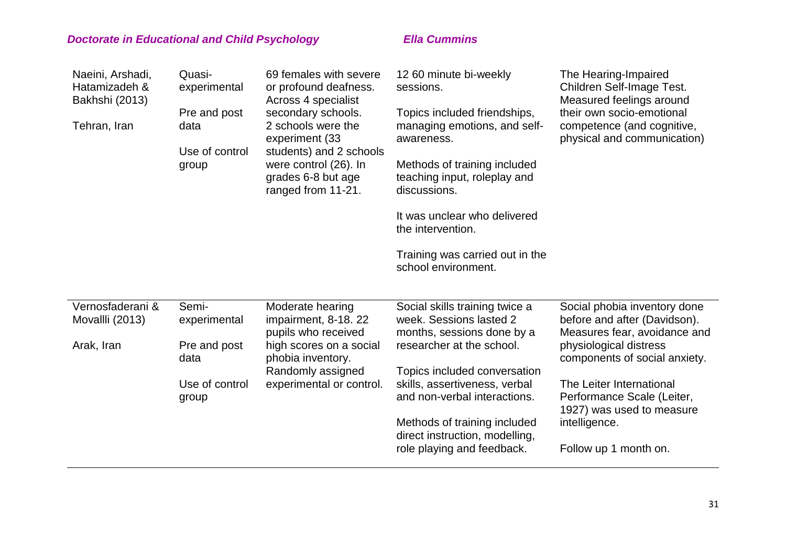| Naeini, Arshadi,<br>Hatamizadeh &<br>Bakhshi (2013)<br>Tehran, Iran | Quasi-<br>experimental<br>Pre and post<br>data<br>Use of control<br>group | 69 females with severe<br>or profound deafness.<br>Across 4 specialist<br>secondary schools.<br>2 schools were the<br>experiment (33<br>students) and 2 schools<br>were control (26). In<br>grades 6-8 but age<br>ranged from 11-21. | 12 60 minute bi-weekly<br>sessions.<br>Topics included friendships,<br>managing emotions, and self-<br>awareness.<br>Methods of training included<br>teaching input, roleplay and<br>discussions.<br>It was unclear who delivered<br>the intervention.<br>Training was carried out in the<br>school environment.      | The Hearing-Impaired<br>Children Self-Image Test.<br>Measured feelings around<br>their own socio-emotional<br>competence (and cognitive,<br>physical and communication)                                                                                                                  |
|---------------------------------------------------------------------|---------------------------------------------------------------------------|--------------------------------------------------------------------------------------------------------------------------------------------------------------------------------------------------------------------------------------|-----------------------------------------------------------------------------------------------------------------------------------------------------------------------------------------------------------------------------------------------------------------------------------------------------------------------|------------------------------------------------------------------------------------------------------------------------------------------------------------------------------------------------------------------------------------------------------------------------------------------|
| Vernosfaderani &<br>Movallli (2013)<br>Arak, Iran                   | Semi-<br>experimental<br>Pre and post<br>data<br>Use of control<br>group  | Moderate hearing<br>impairment, 8-18. 22<br>pupils who received<br>high scores on a social<br>phobia inventory.<br>Randomly assigned<br>experimental or control.                                                                     | Social skills training twice a<br>week. Sessions lasted 2<br>months, sessions done by a<br>researcher at the school.<br>Topics included conversation<br>skills, assertiveness, verbal<br>and non-verbal interactions.<br>Methods of training included<br>direct instruction, modelling,<br>role playing and feedback. | Social phobia inventory done<br>before and after (Davidson).<br>Measures fear, avoidance and<br>physiological distress<br>components of social anxiety.<br>The Leiter International<br>Performance Scale (Leiter,<br>1927) was used to measure<br>intelligence.<br>Follow up 1 month on. |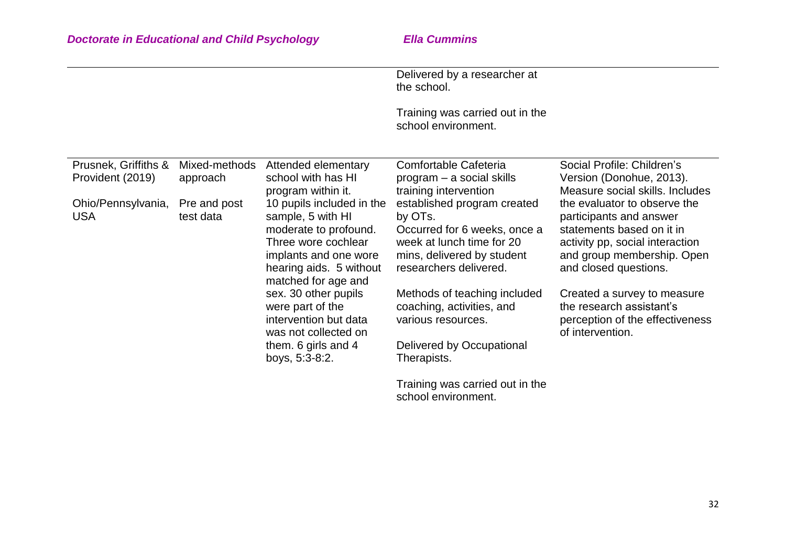school environment.

|                                                                       |                                                                                                                                                                           | Delivered by a researcher at<br>the school.<br>Training was carried out in the                                                                              |                                                                                                                                                                                |
|-----------------------------------------------------------------------|---------------------------------------------------------------------------------------------------------------------------------------------------------------------------|-------------------------------------------------------------------------------------------------------------------------------------------------------------|--------------------------------------------------------------------------------------------------------------------------------------------------------------------------------|
|                                                                       |                                                                                                                                                                           | school environment.                                                                                                                                         |                                                                                                                                                                                |
| Prusnek, Griffiths &<br>Mixed-methods<br>Provident (2019)<br>approach | Attended elementary<br>school with has HI<br>program within it.                                                                                                           | Comfortable Cafeteria<br>$program - a social skills$<br>training intervention                                                                               | Social Profile: Children's<br>Version (Donohue, 2013).<br>Measure social skills. Includes                                                                                      |
| Ohio/Pennsylvania,<br>Pre and post<br><b>USA</b><br>test data         | 10 pupils included in the<br>sample, 5 with HI<br>moderate to profound.<br>Three wore cochlear<br>implants and one wore<br>hearing aids. 5 without<br>matched for age and | established program created<br>by OTs.<br>Occurred for 6 weeks, once a<br>week at lunch time for 20<br>mins, delivered by student<br>researchers delivered. | the evaluator to observe the<br>participants and answer<br>statements based on it in<br>activity pp, social interaction<br>and group membership. Open<br>and closed questions. |
|                                                                       | sex. 30 other pupils<br>were part of the<br>intervention but data<br>was not collected on<br>them. 6 girls and 4<br>boys, 5:3-8:2.                                        | Methods of teaching included<br>coaching, activities, and<br>various resources.<br>Delivered by Occupational<br>Therapists.                                 | Created a survey to measure<br>the research assistant's<br>perception of the effectiveness<br>of intervention.                                                                 |
|                                                                       |                                                                                                                                                                           | Training was carried out in the                                                                                                                             |                                                                                                                                                                                |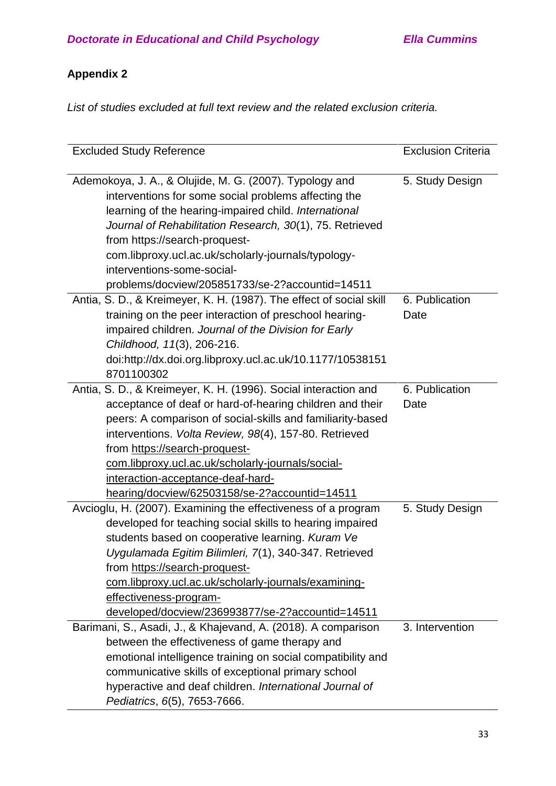# **Appendix 2**

*List of studies excluded at full text review and the related exclusion criteria.*

| <b>Excluded Study Reference</b>                                                                                                                                                                                                                                                                                                                                                                                                                                | <b>Exclusion Criteria</b> |
|----------------------------------------------------------------------------------------------------------------------------------------------------------------------------------------------------------------------------------------------------------------------------------------------------------------------------------------------------------------------------------------------------------------------------------------------------------------|---------------------------|
| Ademokoya, J. A., & Olujide, M. G. (2007). Typology and<br>interventions for some social problems affecting the<br>learning of the hearing-impaired child. International<br>Journal of Rehabilitation Research, 30(1), 75. Retrieved<br>from https://search-proquest-                                                                                                                                                                                          | 5. Study Design           |
| com.libproxy.ucl.ac.uk/scholarly-journals/typology-<br>interventions-some-social-                                                                                                                                                                                                                                                                                                                                                                              |                           |
| problems/docview/205851733/se-2?accountid=14511                                                                                                                                                                                                                                                                                                                                                                                                                |                           |
| Antia, S. D., & Kreimeyer, K. H. (1987). The effect of social skill<br>training on the peer interaction of preschool hearing-<br>impaired children. Journal of the Division for Early<br>Childhood, 11(3), 206-216.<br>doi:http://dx.doi.org.libproxy.ucl.ac.uk/10.1177/10538151<br>8701100302                                                                                                                                                                 | 6. Publication<br>Date    |
| Antia, S. D., & Kreimeyer, K. H. (1996). Social interaction and<br>acceptance of deaf or hard-of-hearing children and their<br>peers: A comparison of social-skills and familiarity-based<br>interventions. Volta Review, 98(4), 157-80. Retrieved<br>from https://search-proquest-<br>com.libproxy.ucl.ac.uk/scholarly-journals/social-<br>interaction-acceptance-deaf-hard-                                                                                  | 6. Publication<br>Date    |
| hearing/docview/62503158/se-2?accountid=14511<br>Avcioglu, H. (2007). Examining the effectiveness of a program<br>developed for teaching social skills to hearing impaired<br>students based on cooperative learning. Kuram Ve<br>Uygulamada Egitim Bilimleri, 7(1), 340-347. Retrieved<br>from https://search-proquest-<br>com.libproxy.ucl.ac.uk/scholarly-journals/examining-<br>effectiveness-program-<br>developed/docview/236993877/se-2?accountid=14511 | 5. Study Design           |
| Barimani, S., Asadi, J., & Khajevand, A. (2018). A comparison<br>between the effectiveness of game therapy and<br>emotional intelligence training on social compatibility and<br>communicative skills of exceptional primary school<br>hyperactive and deaf children. International Journal of<br>Pediatrics, 6(5), 7653-7666.                                                                                                                                 | 3. Intervention           |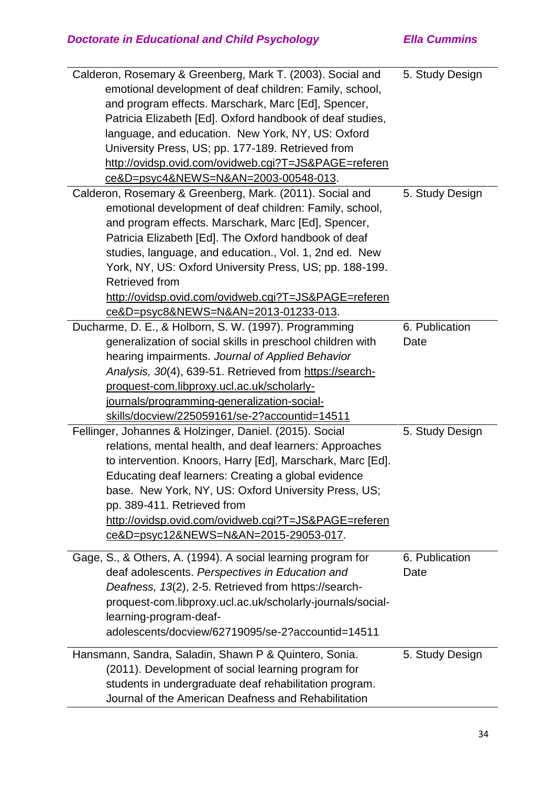| Calderon, Rosemary & Greenberg, Mark T. (2003). Social and   | 5. Study Design |
|--------------------------------------------------------------|-----------------|
| emotional development of deaf children: Family, school,      |                 |
| and program effects. Marschark, Marc [Ed], Spencer,          |                 |
| Patricia Elizabeth [Ed]. Oxford handbook of deaf studies,    |                 |
| language, and education. New York, NY, US: Oxford            |                 |
| University Press, US; pp. 177-189. Retrieved from            |                 |
| http://ovidsp.ovid.com/ovidweb.cgi?T=JS&PAGE=referen         |                 |
| ce&D=psyc4&NEWS=N&AN=2003-00548-013.                         |                 |
| Calderon, Rosemary & Greenberg, Mark. (2011). Social and     | 5. Study Design |
| emotional development of deaf children: Family, school,      |                 |
| and program effects. Marschark, Marc [Ed], Spencer,          |                 |
| Patricia Elizabeth [Ed]. The Oxford handbook of deaf         |                 |
| studies, language, and education., Vol. 1, 2nd ed. New       |                 |
| York, NY, US: Oxford University Press, US; pp. 188-199.      |                 |
| <b>Retrieved from</b>                                        |                 |
| http://ovidsp.ovid.com/ovidweb.cgi?T=JS&PAGE=referen         |                 |
| ce&D=psyc8&NEWS=N&AN=2013-01233-013.                         |                 |
| Ducharme, D. E., & Holborn, S. W. (1997). Programming        | 6. Publication  |
| generalization of social skills in preschool children with   | Date            |
| hearing impairments. Journal of Applied Behavior             |                 |
| Analysis, 30(4), 639-51. Retrieved from https://search-      |                 |
| proquest-com.libproxy.ucl.ac.uk/scholarly-                   |                 |
| journals/programming-generalization-social-                  |                 |
| skills/docview/225059161/se-2?accountid=14511                |                 |
| Fellinger, Johannes & Holzinger, Daniel. (2015). Social      | 5. Study Design |
|                                                              |                 |
| relations, mental health, and deaf learners: Approaches      |                 |
| to intervention. Knoors, Harry [Ed], Marschark, Marc [Ed].   |                 |
| Educating deaf learners: Creating a global evidence          |                 |
| base. New York, NY, US: Oxford University Press, US;         |                 |
| pp. 389-411. Retrieved from                                  |                 |
| http://ovidsp.ovid.com/ovidweb.cgi?T=JS&PAGE=referen         |                 |
| ce&D=psyc12&NEWS=N&AN=2015-29053-017.                        |                 |
|                                                              |                 |
| Gage, S., & Others, A. (1994). A social learning program for | 6. Publication  |
| deaf adolescents. Perspectives in Education and              | Date            |
| Deafness, 13(2), 2-5. Retrieved from https://search-         |                 |
| proquest-com.libproxy.ucl.ac.uk/scholarly-journals/social-   |                 |
| learning-program-deaf-                                       |                 |
| adolescents/docview/62719095/se-2?accountid=14511            |                 |
| Hansmann, Sandra, Saladin, Shawn P & Quintero, Sonia.        | 5. Study Design |
| (2011). Development of social learning program for           |                 |
| students in undergraduate deaf rehabilitation program.       |                 |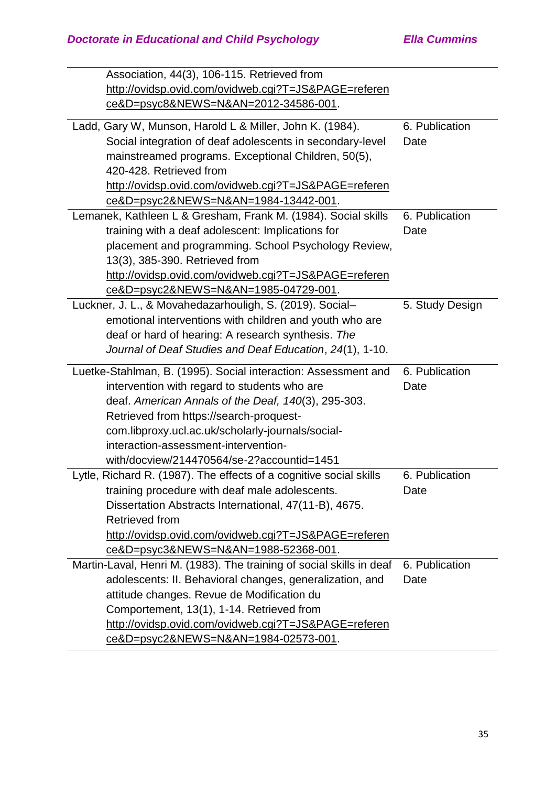| Association, 44(3), 106-115. Retrieved from                          |                 |
|----------------------------------------------------------------------|-----------------|
| http://ovidsp.ovid.com/ovidweb.cgi?T=JS&PAGE=referen                 |                 |
| ce&D=psyc8&NEWS=N&AN=2012-34586-001.                                 |                 |
| Ladd, Gary W, Munson, Harold L & Miller, John K. (1984).             | 6. Publication  |
| Social integration of deaf adolescents in secondary-level            | Date            |
| mainstreamed programs. Exceptional Children, 50(5),                  |                 |
| 420-428. Retrieved from                                              |                 |
| http://ovidsp.ovid.com/ovidweb.cgi?T=JS&PAGE=referen                 |                 |
| ce&D=psyc2&NEWS=N&AN=1984-13442-001.                                 |                 |
| Lemanek, Kathleen L & Gresham, Frank M. (1984). Social skills        | 6. Publication  |
| training with a deaf adolescent: Implications for                    | Date            |
| placement and programming. School Psychology Review,                 |                 |
| 13(3), 385-390. Retrieved from                                       |                 |
| http://ovidsp.ovid.com/ovidweb.cgi?T=JS&PAGE=referen                 |                 |
| ce&D=psyc2&NEWS=N&AN=1985-04729-001.                                 |                 |
| Luckner, J. L., & Movahedazarhouligh, S. (2019). Social-             | 5. Study Design |
| emotional interventions with children and youth who are              |                 |
| deaf or hard of hearing: A research synthesis. The                   |                 |
| Journal of Deaf Studies and Deaf Education, 24(1), 1-10.             |                 |
|                                                                      |                 |
| Luetke-Stahlman, B. (1995). Social interaction: Assessment and       | 6. Publication  |
| intervention with regard to students who are                         | Date            |
| deaf. American Annals of the Deaf, 140(3), 295-303.                  |                 |
| Retrieved from https://search-proquest-                              |                 |
| com.libproxy.ucl.ac.uk/scholarly-journals/social-                    |                 |
| interaction-assessment-intervention-                                 |                 |
| with/docview/214470564/se-2?accountid=1451                           |                 |
| Lytle, Richard R. (1987). The effects of a cognitive social skills   | 6. Publication  |
| training procedure with deaf male adolescents.                       | Date            |
| Dissertation Abstracts International, 47(11-B), 4675.                |                 |
| Retrieved from                                                       |                 |
| http://ovidsp.ovid.com/ovidweb.cgi?T=JS&PAGE=referen                 |                 |
| ce&D=psyc3&NEWS=N&AN=1988-52368-001.                                 |                 |
| Martin-Laval, Henri M. (1983). The training of social skills in deaf | 6. Publication  |
| adolescents: II. Behavioral changes, generalization, and             | Date            |
| attitude changes. Revue de Modification du                           |                 |
| Comportement, 13(1), 1-14. Retrieved from                            |                 |
| http://ovidsp.ovid.com/ovidweb.cgi?T=JS&PAGE=referen                 |                 |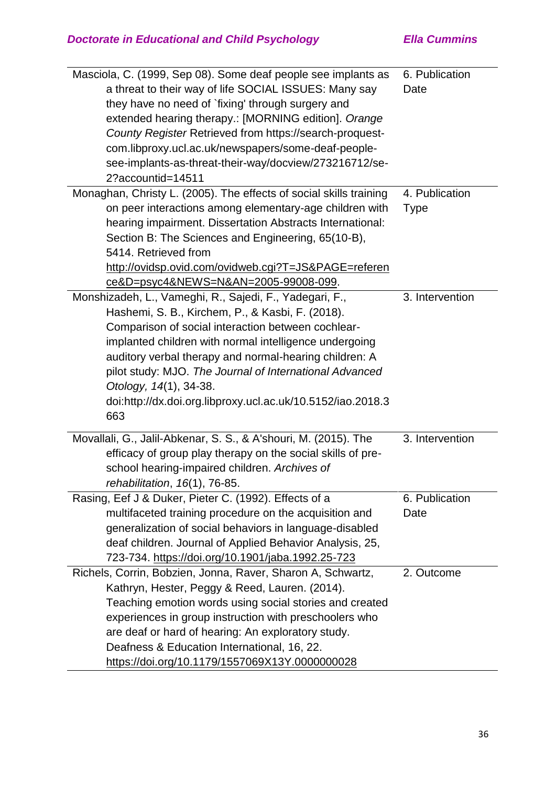| Masciola, C. (1999, Sep 08). Some deaf people see implants as      | 6. Publication  |
|--------------------------------------------------------------------|-----------------|
| a threat to their way of life SOCIAL ISSUES: Many say              | Date            |
| they have no need of `fixing' through surgery and                  |                 |
| extended hearing therapy.: [MORNING edition]. Orange               |                 |
| County Register Retrieved from https://search-proquest-            |                 |
| com.libproxy.ucl.ac.uk/newspapers/some-deaf-people-                |                 |
| see-implants-as-threat-their-way/docview/273216712/se-             |                 |
| 2?accountid=14511                                                  |                 |
| Monaghan, Christy L. (2005). The effects of social skills training | 4. Publication  |
| on peer interactions among elementary-age children with            | <b>Type</b>     |
| hearing impairment. Dissertation Abstracts International:          |                 |
| Section B: The Sciences and Engineering, 65(10-B),                 |                 |
| 5414. Retrieved from                                               |                 |
| http://ovidsp.ovid.com/ovidweb.cgi?T=JS&PAGE=referen               |                 |
| ce&D=psyc4&NEWS=N&AN=2005-99008-099.                               |                 |
| Monshizadeh, L., Vameghi, R., Sajedi, F., Yadegari, F.,            | 3. Intervention |
| Hashemi, S. B., Kirchem, P., & Kasbi, F. (2018).                   |                 |
| Comparison of social interaction between cochlear-                 |                 |
| implanted children with normal intelligence undergoing             |                 |
| auditory verbal therapy and normal-hearing children: A             |                 |
| pilot study: MJO. The Journal of International Advanced            |                 |
| Otology, 14(1), 34-38.                                             |                 |
| doi:http://dx.doi.org.libproxy.ucl.ac.uk/10.5152/iao.2018.3        |                 |
| 663                                                                |                 |
| Movallali, G., Jalil-Abkenar, S. S., & A'shouri, M. (2015). The    | 3. Intervention |
| efficacy of group play therapy on the social skills of pre-        |                 |
| school hearing-impaired children. Archives of                      |                 |
| rehabilitation, 16(1), 76-85.                                      |                 |
| Rasing, Eef J & Duker, Pieter C. (1992). Effects of a              | 6. Publication  |
| multifaceted training procedure on the acquisition and             | Date            |
| generalization of social behaviors in language-disabled            |                 |
| deaf children. Journal of Applied Behavior Analysis, 25,           |                 |
| 723-734. https://doi.org/10.1901/jaba.1992.25-723                  |                 |
| Richels, Corrin, Bobzien, Jonna, Raver, Sharon A, Schwartz,        | 2. Outcome      |
| Kathryn, Hester, Peggy & Reed, Lauren. (2014).                     |                 |
| Teaching emotion words using social stories and created            |                 |
| experiences in group instruction with preschoolers who             |                 |
| are deaf or hard of hearing: An exploratory study.                 |                 |
| Deafness & Education International, 16, 22.                        |                 |
| <u> https://doi.org/10.1179/1557069X13Y.0000000028</u>             |                 |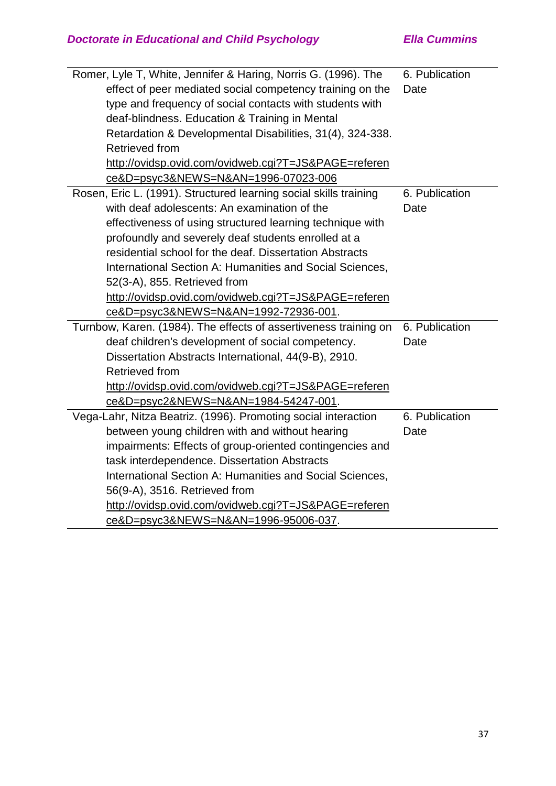| Romer, Lyle T, White, Jennifer & Haring, Norris G. (1996). The    | 6. Publication |
|-------------------------------------------------------------------|----------------|
| effect of peer mediated social competency training on the         | Date           |
| type and frequency of social contacts with students with          |                |
| deaf-blindness. Education & Training in Mental                    |                |
| Retardation & Developmental Disabilities, 31(4), 324-338.         |                |
| Retrieved from                                                    |                |
| http://ovidsp.ovid.com/ovidweb.cgi?T=JS&PAGE=referen              |                |
| ce&D=psyc3&NEWS=N&AN=1996-07023-006                               |                |
| Rosen, Eric L. (1991). Structured learning social skills training | 6. Publication |
| with deaf adolescents: An examination of the                      | Date           |
| effectiveness of using structured learning technique with         |                |
| profoundly and severely deaf students enrolled at a               |                |
| residential school for the deaf. Dissertation Abstracts           |                |
| International Section A: Humanities and Social Sciences,          |                |
| 52(3-A), 855. Retrieved from                                      |                |
| http://ovidsp.ovid.com/ovidweb.cgi?T=JS&PAGE=referen              |                |
| <u>ce&amp;D=psyc3&amp;NEWS=N&amp;AN=1992-72936-001</u> .          |                |
| Turnbow, Karen. (1984). The effects of assertiveness training on  | 6. Publication |
| deaf children's development of social competency.                 | Date           |
| Dissertation Abstracts International, 44(9-B), 2910.              |                |
| Retrieved from                                                    |                |
| http://ovidsp.ovid.com/ovidweb.cgi?T=JS&PAGE=referen              |                |
| ce&D=psyc2&NEWS=N&AN=1984-54247-001.                              |                |
| Vega-Lahr, Nitza Beatriz. (1996). Promoting social interaction    | 6. Publication |
| between young children with and without hearing                   | Date           |
| impairments: Effects of group-oriented contingencies and          |                |
| task interdependence. Dissertation Abstracts                      |                |
| International Section A: Humanities and Social Sciences,          |                |
| 56(9-A), 3516. Retrieved from                                     |                |
| http://ovidsp.ovid.com/ovidweb.cgi?T=JS&PAGE=referen              |                |
| ce&D=psyc3&NEWS=N&AN=1996-95006-037.                              |                |
|                                                                   |                |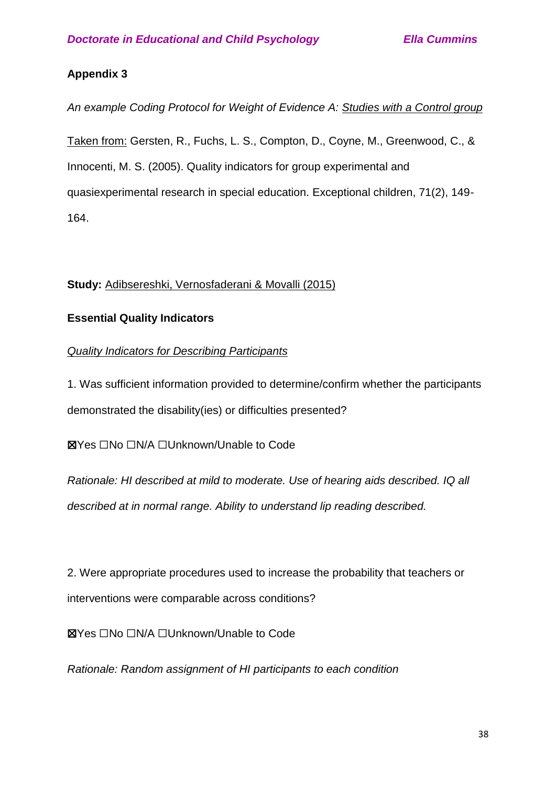# **Appendix 3**

*An example Coding Protocol for Weight of Evidence A: Studies with a Control group*

Taken from: Gersten, R., Fuchs, L. S., Compton, D., Coyne, M., Greenwood, C., & Innocenti, M. S. (2005). Quality indicators for group experimental and quasiexperimental research in special education. Exceptional children, 71(2), 149- 164.

# **Study:** Adibsereshki, Vernosfaderani & Movalli (2015)

# **Essential Quality Indicators**

# *Quality Indicators for Describing Participants*

1. Was sufficient information provided to determine/confirm whether the participants demonstrated the disability(ies) or difficulties presented?

☒Yes ☐No ☐N/A ☐Unknown/Unable to Code

*Rationale: HI described at mild to moderate. Use of hearing aids described. IQ all described at in normal range. Ability to understand lip reading described.*

2. Were appropriate procedures used to increase the probability that teachers or interventions were comparable across conditions?

☒Yes ☐No ☐N/A ☐Unknown/Unable to Code

*Rationale: Random assignment of HI participants to each condition*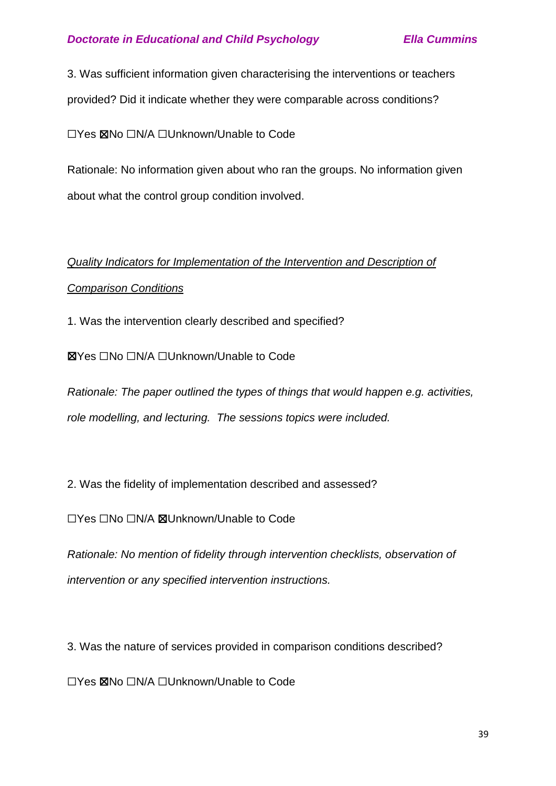3. Was sufficient information given characterising the interventions or teachers provided? Did it indicate whether they were comparable across conditions?

☐Yes ☒No ☐N/A ☐Unknown/Unable to Code

Rationale: No information given about who ran the groups. No information given about what the control group condition involved.

# *Quality Indicators for Implementation of the Intervention and Description of Comparison Conditions*

1. Was the intervention clearly described and specified?

☒Yes ☐No ☐N/A ☐Unknown/Unable to Code

*Rationale: The paper outlined the types of things that would happen e.g. activities, role modelling, and lecturing. The sessions topics were included.*

2. Was the fidelity of implementation described and assessed?

☐Yes ☐No ☐N/A ☒Unknown/Unable to Code

*Rationale: No mention of fidelity through intervention checklists, observation of intervention or any specified intervention instructions.*

3. Was the nature of services provided in comparison conditions described?

☐Yes ☒No ☐N/A ☐Unknown/Unable to Code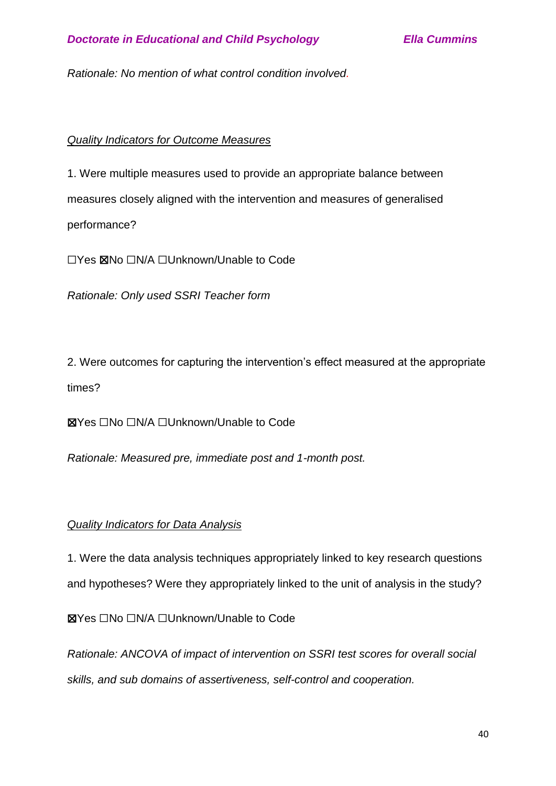*Rationale: No mention of what control condition involved.*

# *Quality Indicators for Outcome Measures*

1. Were multiple measures used to provide an appropriate balance between measures closely aligned with the intervention and measures of generalised performance?

☐Yes ☒No ☐N/A ☐Unknown/Unable to Code

*Rationale: Only used SSRI Teacher form*

2. Were outcomes for capturing the intervention's effect measured at the appropriate times?

☒Yes ☐No ☐N/A ☐Unknown/Unable to Code

*Rationale: Measured pre, immediate post and 1-month post.*

## *Quality Indicators for Data Analysis*

1. Were the data analysis techniques appropriately linked to key research questions and hypotheses? Were they appropriately linked to the unit of analysis in the study?

☒Yes ☐No ☐N/A ☐Unknown/Unable to Code

*Rationale: ANCOVA of impact of intervention on SSRI test scores for overall social skills, and sub domains of assertiveness, self-control and cooperation.*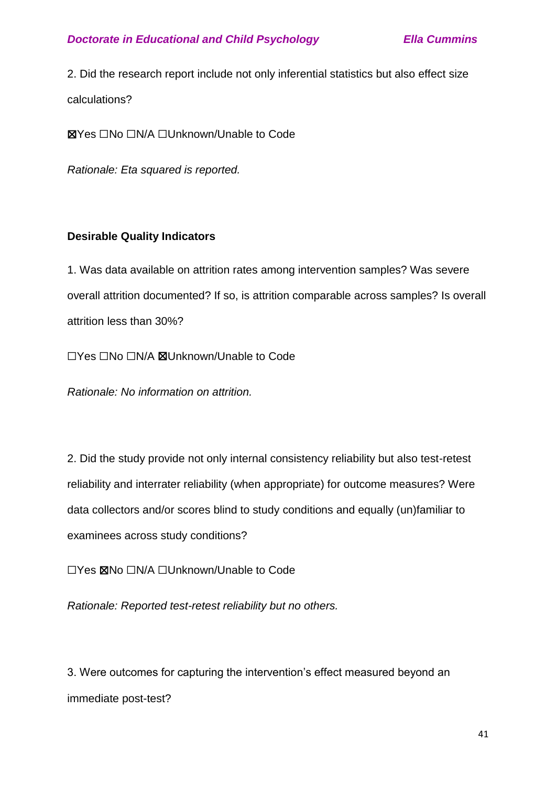2. Did the research report include not only inferential statistics but also effect size calculations?

☒Yes ☐No ☐N/A ☐Unknown/Unable to Code

*Rationale: Eta squared is reported.*

## **Desirable Quality Indicators**

1. Was data available on attrition rates among intervention samples? Was severe overall attrition documented? If so, is attrition comparable across samples? Is overall attrition less than 30%?

☐Yes ☐No ☐N/A ☒Unknown/Unable to Code

*Rationale: No information on attrition.*

2. Did the study provide not only internal consistency reliability but also test-retest reliability and interrater reliability (when appropriate) for outcome measures? Were data collectors and/or scores blind to study conditions and equally (un)familiar to examinees across study conditions?

☐Yes ☒No ☐N/A ☐Unknown/Unable to Code

*Rationale: Reported test-retest reliability but no others.*

3. Were outcomes for capturing the intervention's effect measured beyond an immediate post-test?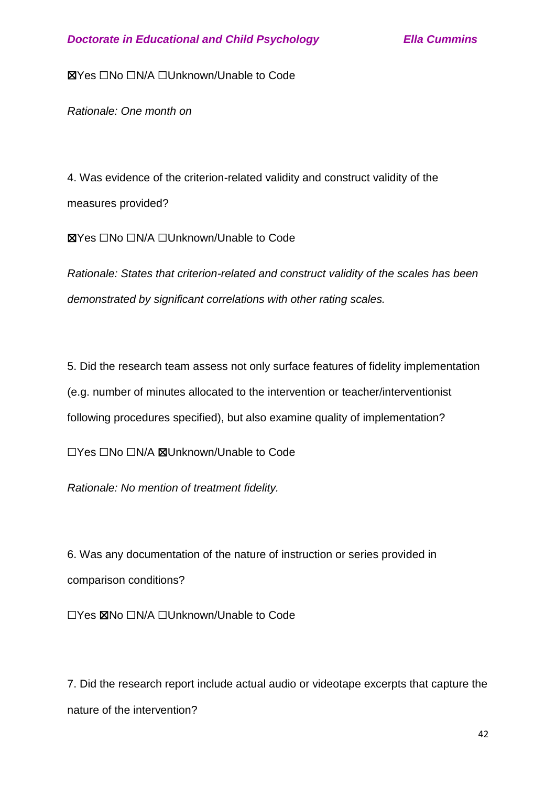☒Yes ☐No ☐N/A ☐Unknown/Unable to Code

*Rationale: One month on*

4. Was evidence of the criterion-related validity and construct validity of the measures provided?

☒Yes ☐No ☐N/A ☐Unknown/Unable to Code

*Rationale: States that criterion-related and construct validity of the scales has been demonstrated by significant correlations with other rating scales.*

5. Did the research team assess not only surface features of fidelity implementation (e.g. number of minutes allocated to the intervention or teacher/interventionist following procedures specified), but also examine quality of implementation?

☐Yes ☐No ☐N/A ☒Unknown/Unable to Code

*Rationale: No mention of treatment fidelity.*

6. Was any documentation of the nature of instruction or series provided in comparison conditions?

☐Yes ☒No ☐N/A ☐Unknown/Unable to Code

7. Did the research report include actual audio or videotape excerpts that capture the nature of the intervention?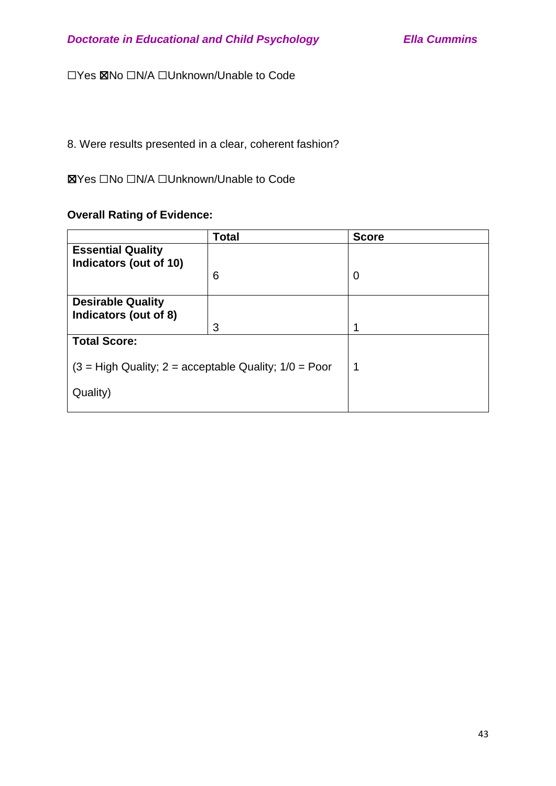☐Yes ☒No ☐N/A ☐Unknown/Unable to Code

# 8. Were results presented in a clear, coherent fashion?

# ☒Yes ☐No ☐N/A ☐Unknown/Unable to Code

# **Overall Rating of Evidence:**

|                                                         | <b>Total</b> | <b>Score</b> |
|---------------------------------------------------------|--------------|--------------|
| <b>Essential Quality</b><br>Indicators (out of 10)      |              |              |
|                                                         | 6            | 0            |
| <b>Desirable Quality</b><br>Indicators (out of 8)       |              |              |
|                                                         | 3            | 1            |
| <b>Total Score:</b>                                     |              |              |
| $(3 = High Quality; 2 = acceptable Quality; 1/0 = Poor$ |              | $\mathbf 1$  |
| Quality)                                                |              |              |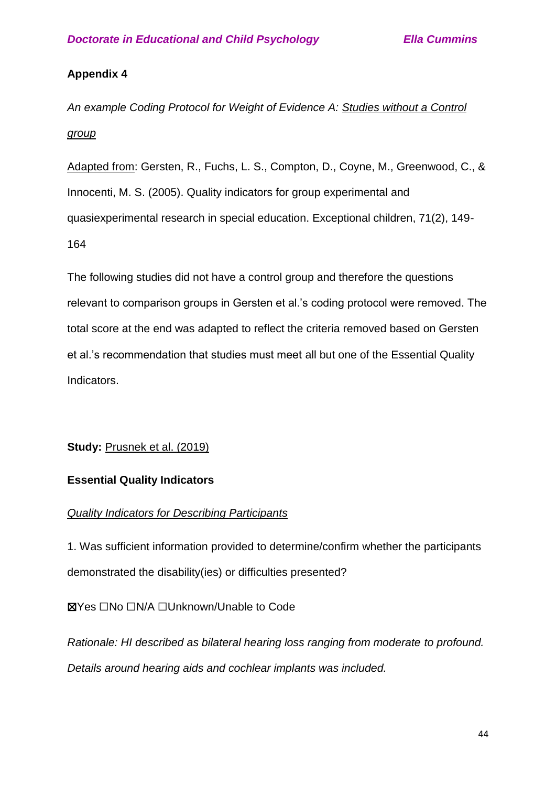# **Appendix 4**

*An example Coding Protocol for Weight of Evidence A: Studies without a Control group*

Adapted from: Gersten, R., Fuchs, L. S., Compton, D., Coyne, M., Greenwood, C., & Innocenti, M. S. (2005). Quality indicators for group experimental and quasiexperimental research in special education. Exceptional children, 71(2), 149- 164

The following studies did not have a control group and therefore the questions relevant to comparison groups in Gersten et al.'s coding protocol were removed. The total score at the end was adapted to reflect the criteria removed based on Gersten et al.'s recommendation that studies must meet all but one of the Essential Quality Indicators.

# **Study: Prusnek et al. (2019)**

# **Essential Quality Indicators**

## *Quality Indicators for Describing Participants*

1. Was sufficient information provided to determine/confirm whether the participants demonstrated the disability(ies) or difficulties presented?

# ☒Yes ☐No ☐N/A ☐Unknown/Unable to Code

*Rationale: HI described as bilateral hearing loss ranging from moderate to profound. Details around hearing aids and cochlear implants was included.*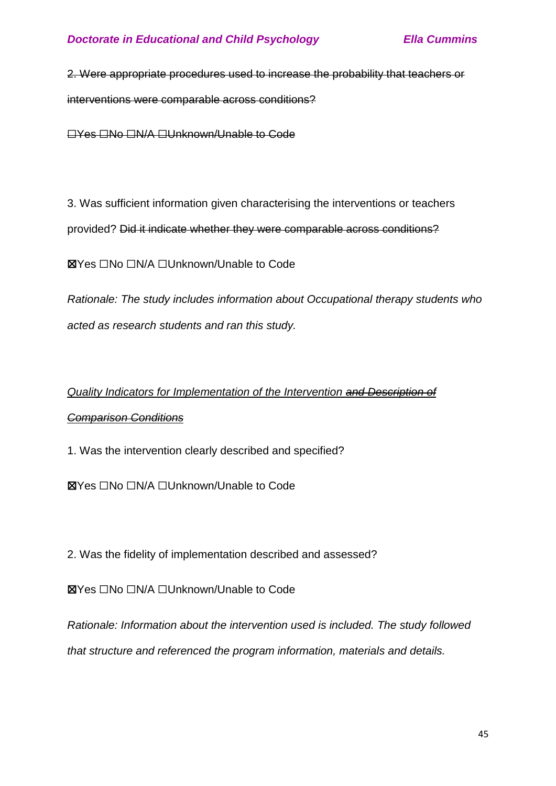2. Were appropriate procedures used to increase the probability that teachers or interventions were comparable across conditions?

☐Yes ☐No ☐N/A ☐Unknown/Unable to Code

3. Was sufficient information given characterising the interventions or teachers provided? Did it indicate whether they were comparable across conditions?

☒Yes ☐No ☐N/A ☐Unknown/Unable to Code

*Rationale: The study includes information about Occupational therapy students who acted as research students and ran this study.*

# *Quality Indicators for Implementation of the Intervention and Description of Comparison Conditions*

1. Was the intervention clearly described and specified?

☒Yes ☐No ☐N/A ☐Unknown/Unable to Code

2. Was the fidelity of implementation described and assessed?

☒Yes ☐No ☐N/A ☐Unknown/Unable to Code

*Rationale: Information about the intervention used is included. The study followed that structure and referenced the program information, materials and details.*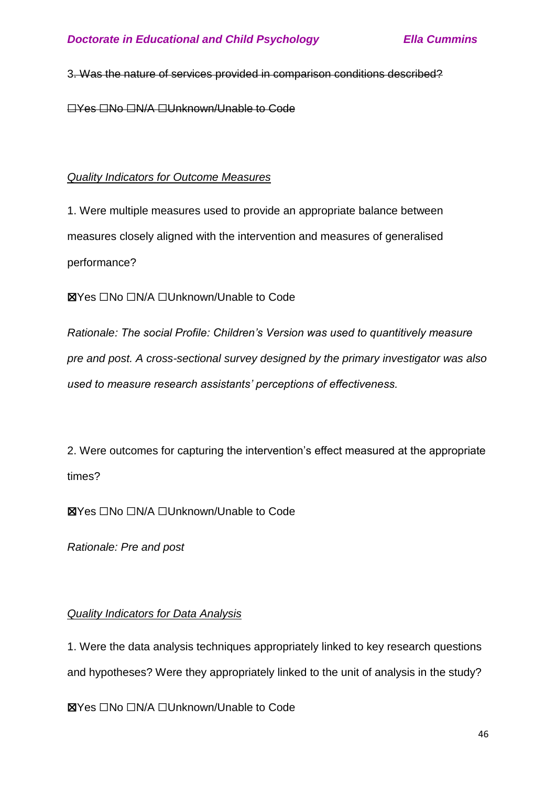## 3. Was the nature of services provided in comparison conditions described?

☐Yes ☐No ☐N/A ☐Unknown/Unable to Code

# *Quality Indicators for Outcome Measures*

1. Were multiple measures used to provide an appropriate balance between measures closely aligned with the intervention and measures of generalised performance?

☒Yes ☐No ☐N/A ☐Unknown/Unable to Code

*Rationale: The social Profile: Children's Version was used to quantitively measure pre and post. A cross-sectional survey designed by the primary investigator was also used to measure research assistants' perceptions of effectiveness.*

2. Were outcomes for capturing the intervention's effect measured at the appropriate times?

☒Yes ☐No ☐N/A ☐Unknown/Unable to Code

*Rationale: Pre and post*

# *Quality Indicators for Data Analysis*

1. Were the data analysis techniques appropriately linked to key research questions and hypotheses? Were they appropriately linked to the unit of analysis in the study?

☒Yes ☐No ☐N/A ☐Unknown/Unable to Code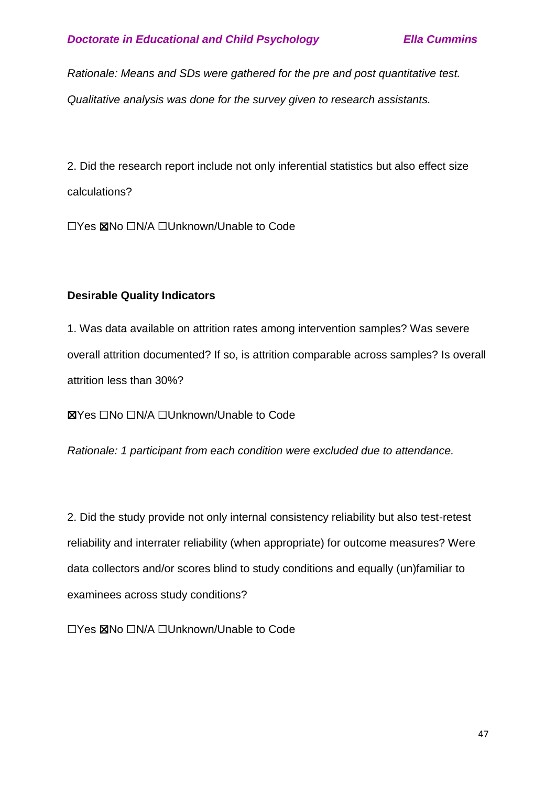*Rationale: Means and SDs were gathered for the pre and post quantitative test. Qualitative analysis was done for the survey given to research assistants.*

2. Did the research report include not only inferential statistics but also effect size calculations?

☐Yes ☒No ☐N/A ☐Unknown/Unable to Code

# **Desirable Quality Indicators**

1. Was data available on attrition rates among intervention samples? Was severe overall attrition documented? If so, is attrition comparable across samples? Is overall attrition less than 30%?

☒Yes ☐No ☐N/A ☐Unknown/Unable to Code

*Rationale: 1 participant from each condition were excluded due to attendance.*

2. Did the study provide not only internal consistency reliability but also test-retest reliability and interrater reliability (when appropriate) for outcome measures? Were data collectors and/or scores blind to study conditions and equally (un)familiar to examinees across study conditions?

☐Yes ☒No ☐N/A ☐Unknown/Unable to Code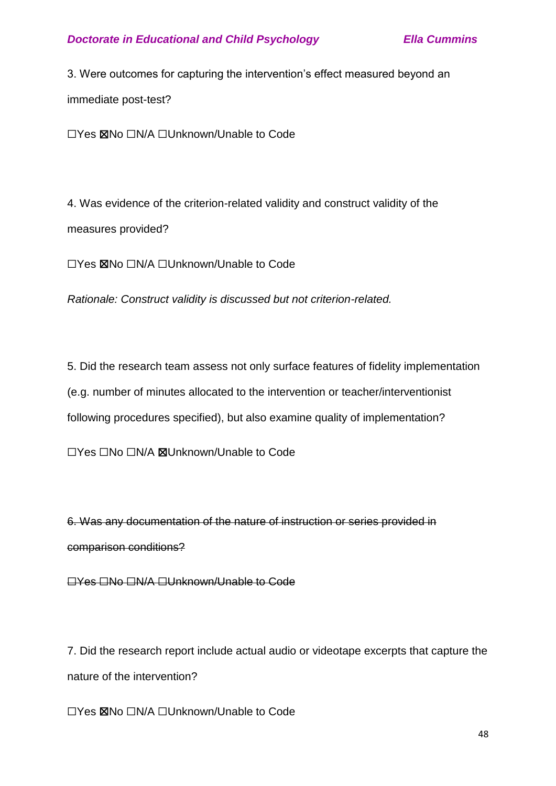3. Were outcomes for capturing the intervention's effect measured beyond an immediate post-test?

☐Yes ☒No ☐N/A ☐Unknown/Unable to Code

4. Was evidence of the criterion-related validity and construct validity of the measures provided?

☐Yes ☒No ☐N/A ☐Unknown/Unable to Code

*Rationale: Construct validity is discussed but not criterion-related.*

5. Did the research team assess not only surface features of fidelity implementation (e.g. number of minutes allocated to the intervention or teacher/interventionist following procedures specified), but also examine quality of implementation?

☐Yes ☐No ☐N/A ☒Unknown/Unable to Code

6. Was any documentation of the nature of instruction or series provided in comparison conditions?

☐Yes ☐No ☐N/A ☐Unknown/Unable to Code

7. Did the research report include actual audio or videotape excerpts that capture the nature of the intervention?

☐Yes ☒No ☐N/A ☐Unknown/Unable to Code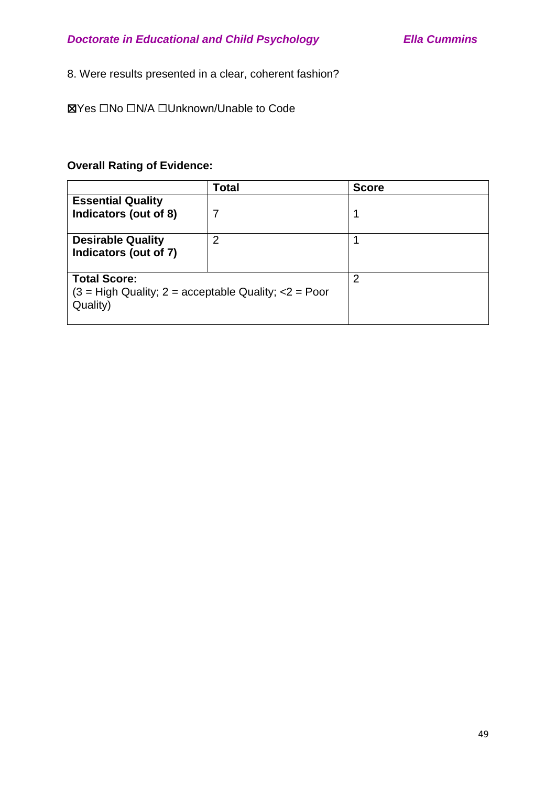# 8. Were results presented in a clear, coherent fashion?

☒Yes ☐No ☐N/A ☐Unknown/Unable to Code

# **Overall Rating of Evidence:**

|                                                                                              | Total | <b>Score</b> |
|----------------------------------------------------------------------------------------------|-------|--------------|
| <b>Essential Quality</b><br>Indicators (out of 8)                                            | 7     |              |
| <b>Desirable Quality</b><br>Indicators (out of 7)                                            | 2     |              |
| <b>Total Score:</b><br>$(3 = High Quality; 2 = acceptable Quality; \langle 2 = PoorQuality)$ |       | 2            |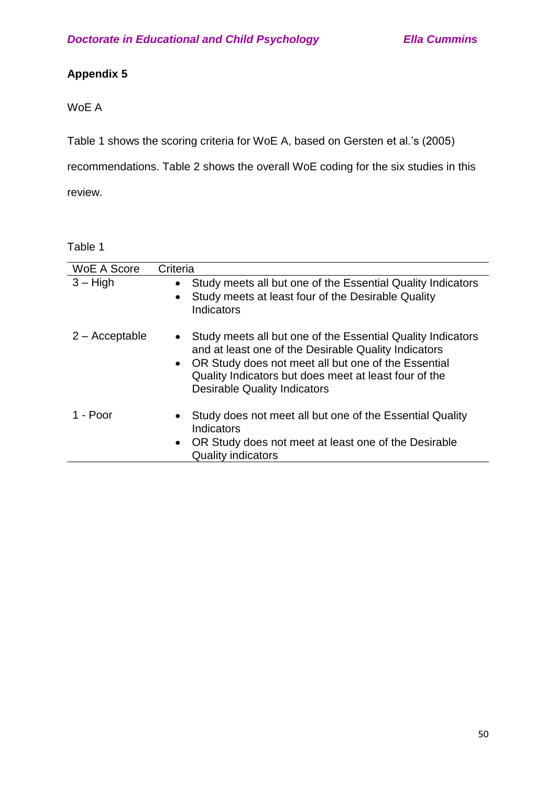# **Appendix 5**

# WoE A

Table 1 shows the scoring criteria for WoE A, based on Gersten et al.'s (2005)

recommendations. Table 2 shows the overall WoE coding for the six studies in this

review.

| <b>WoE A Score</b> | Criteria                                                                                                                                                                                                                                                                                  |
|--------------------|-------------------------------------------------------------------------------------------------------------------------------------------------------------------------------------------------------------------------------------------------------------------------------------------|
| $3 - High$         | Study meets all but one of the Essential Quality Indicators<br>$\bullet$<br>Study meets at least four of the Desirable Quality<br>$\bullet$<br>Indicators                                                                                                                                 |
| $2 -$ Acceptable   | Study meets all but one of the Essential Quality Indicators<br>$\bullet$<br>and at least one of the Desirable Quality Indicators<br>• OR Study does not meet all but one of the Essential<br>Quality Indicators but does meet at least four of the<br><b>Desirable Quality Indicators</b> |
| 1 - Poor           | Study does not meet all but one of the Essential Quality<br>$\bullet$<br>Indicators<br>OR Study does not meet at least one of the Desirable<br>$\bullet$<br><b>Quality indicators</b>                                                                                                     |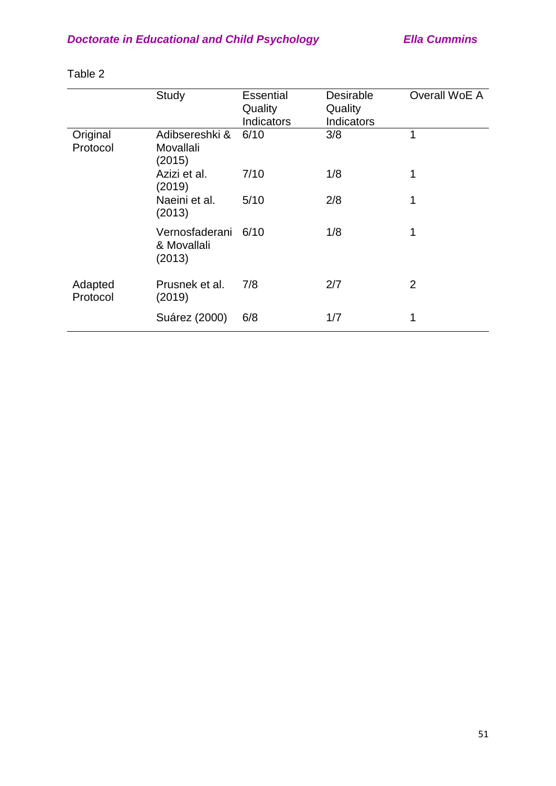|                      | Study                                        | <b>Essential</b><br>Quality<br>Indicators | <b>Desirable</b><br>Quality<br>Indicators | Overall WoE A  |
|----------------------|----------------------------------------------|-------------------------------------------|-------------------------------------------|----------------|
| Original<br>Protocol | Adibsereshki &<br>Movallali<br>(2015)        | 6/10                                      | 3/8                                       | 1              |
|                      | Azizi et al.<br>(2019)                       | 7/10                                      | 1/8                                       | 1              |
|                      | Naeini et al.<br>(2013)                      | 5/10                                      | 2/8                                       | 1              |
|                      | Vernosfaderani 6/10<br>& Movallali<br>(2013) |                                           | 1/8                                       | 1              |
| Adapted<br>Protocol  | Prusnek et al.<br>(2019)                     | 7/8                                       | 2/7                                       | $\overline{2}$ |
|                      | Suárez (2000)                                | 6/8                                       | 1/7                                       | 1              |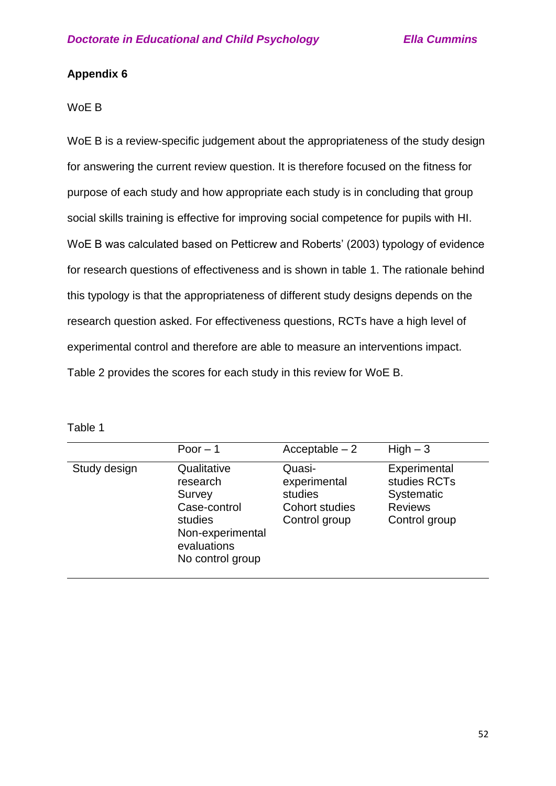# **Appendix 6**

## WoE B

WoE B is a review-specific judgement about the appropriateness of the study design for answering the current review question. It is therefore focused on the fitness for purpose of each study and how appropriate each study is in concluding that group social skills training is effective for improving social competence for pupils with HI. WoE B was calculated based on Petticrew and Roberts' (2003) typology of evidence for research questions of effectiveness and is shown in table 1. The rationale behind this typology is that the appropriateness of different study designs depends on the research question asked. For effectiveness questions, RCTs have a high level of experimental control and therefore are able to measure an interventions impact. Table 2 provides the scores for each study in this review for WoE B.

|              | Poor $-1$                                                                                                           | $Acceptable - 2$                                                            | $High-3$                                                                      |
|--------------|---------------------------------------------------------------------------------------------------------------------|-----------------------------------------------------------------------------|-------------------------------------------------------------------------------|
| Study design | Qualitative<br>research<br>Survey<br>Case-control<br>studies<br>Non-experimental<br>evaluations<br>No control group | Quasi-<br>experimental<br>studies<br><b>Cohort studies</b><br>Control group | Experimental<br>studies RCTs<br>Systematic<br><b>Reviews</b><br>Control group |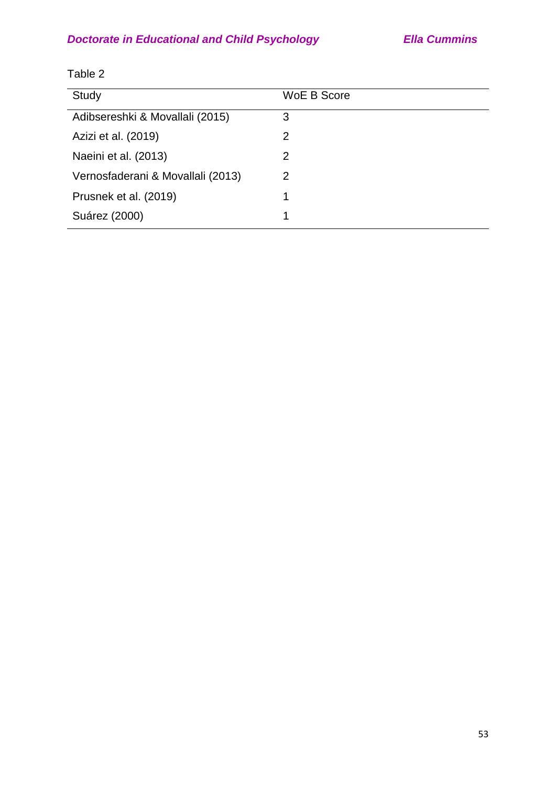| Study                             | WoE B Score |
|-----------------------------------|-------------|
| Adibsereshki & Movallali (2015)   | 3           |
| Azizi et al. (2019)               | 2           |
| Naeini et al. (2013)              | 2           |
| Vernosfaderani & Movallali (2013) | 2           |
| Prusnek et al. (2019)             | 1           |
| Suárez (2000)                     | 1           |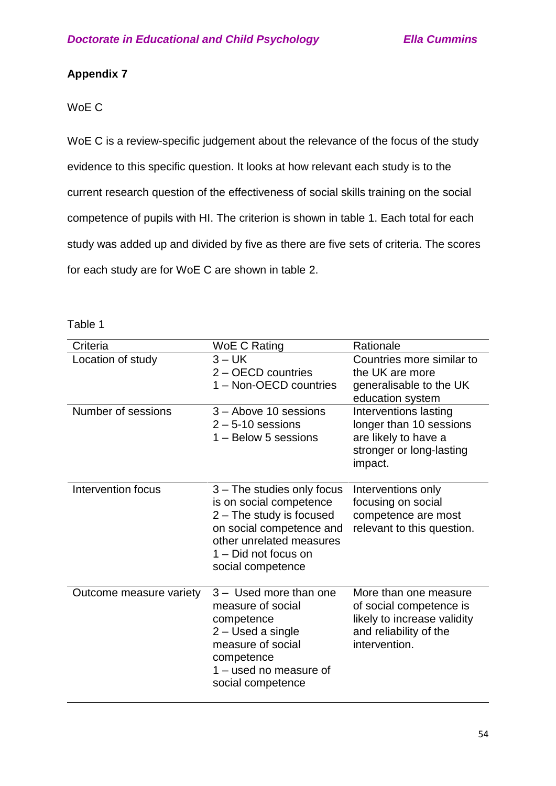# **Appendix 7**

# WoE C

WoE C is a review-specific judgement about the relevance of the focus of the study evidence to this specific question. It looks at how relevant each study is to the current research question of the effectiveness of social skills training on the social competence of pupils with HI. The criterion is shown in table 1. Each total for each study was added up and divided by five as there are five sets of criteria. The scores for each study are for WoE C are shown in table 2.

|  | able |  |
|--|------|--|
|  |      |  |

| Criteria                | WoE C Rating                                                                                                                                                                           | Rationale                                                                                                                  |
|-------------------------|----------------------------------------------------------------------------------------------------------------------------------------------------------------------------------------|----------------------------------------------------------------------------------------------------------------------------|
| Location of study       | $3 - UK$<br>2 - OECD countries<br>1 - Non-OECD countries                                                                                                                               | Countries more similar to<br>the UK are more<br>generalisable to the UK<br>education system                                |
| Number of sessions      | 3 - Above 10 sessions<br>$2 - 5 - 10$ sessions<br>1 - Below 5 sessions                                                                                                                 | Interventions lasting<br>longer than 10 sessions<br>are likely to have a<br>stronger or long-lasting<br>impact.            |
| Intervention focus      | 3 – The studies only focus<br>is on social competence<br>2 – The study is focused<br>on social competence and<br>other unrelated measures<br>1 - Did not focus on<br>social competence | Interventions only<br>focusing on social<br>competence are most<br>relevant to this question.                              |
| Outcome measure variety | 3 - Used more than one<br>measure of social<br>competence<br>2 – Used a single<br>measure of social<br>competence<br>1 - used no measure of<br>social competence                       | More than one measure<br>of social competence is<br>likely to increase validity<br>and reliability of the<br>intervention. |